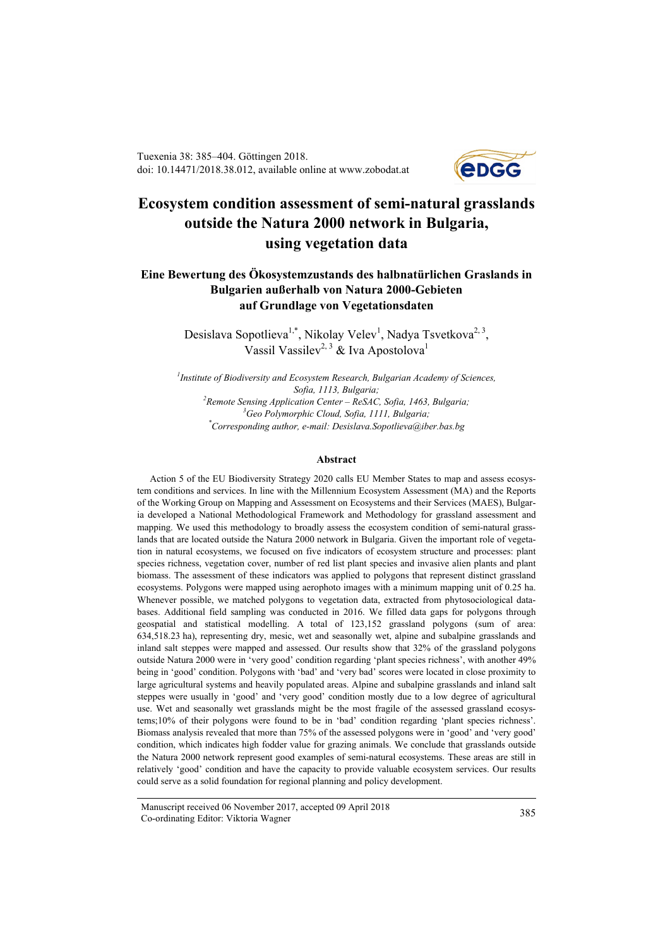Tuexenia 38: 385–404. Göttingen 2018. doi: 10.14471/2018.38.012, available online at www.zobodat.at



# **Ecosystem condition assessment of semi-natural grasslands outside the Natura 2000 network in Bulgaria, using vegetation data**

## **Eine Bewertung des Ökosystemzustands des halbnatürlichen Graslands in Bulgarien außerhalb von Natura 2000-Gebieten auf Grundlage von Vegetationsdaten**

Desislava Sopotlieva<sup>1,\*</sup>, Nikolay Velev<sup>1</sup>, Nadya Tsvetkova<sup>2, 3</sup>, Vassil Vassilev<sup>2, 3</sup> & Iva Apostolova<sup>1</sup>

*1 Institute of Biodiversity and Ecosystem Research, Bulgarian Academy of Sciences, Sofia, 1113, Bulgaria; 2 Remote Sensing Application Center – ReSAC, Sofia, 1463, Bulgaria; 3 Geo Polymorphic Cloud, Sofia, 1111, Bulgaria; \* Corresponding author, e-mail: Desislava.Sopotlieva@iber.bas.bg*

#### **Abstract**

Action 5 of the EU Biodiversity Strategy 2020 calls EU Member States to map and assess ecosystem conditions and services. In line with the Millennium Ecosystem Assessment (MA) and the Reports of the Working Group on Mapping and Assessment on Ecosystems and their Services (MAES), Bulgaria developed a National Methodological Framework and Methodology for grassland assessment and mapping. We used this methodology to broadly assess the ecosystem condition of semi-natural grasslands that are located outside the Natura 2000 network in Bulgaria. Given the important role of vegetation in natural ecosystems, we focused on five indicators of ecosystem structure and processes: plant species richness, vegetation cover, number of red list plant species and invasive alien plants and plant biomass. The assessment of these indicators was applied to polygons that represent distinct grassland ecosystems. Polygons were mapped using aerophoto images with a minimum mapping unit of 0.25 ha. Whenever possible, we matched polygons to vegetation data, extracted from phytosociological databases. Additional field sampling was conducted in 2016. We filled data gaps for polygons through geospatial and statistical modelling. A total of 123,152 grassland polygons (sum of area: 634,518.23 ha), representing dry, mesic, wet and seasonally wet, alpine and subalpine grasslands and inland salt steppes were mapped and assessed. Our results show that 32% of the grassland polygons outside Natura 2000 were in 'very good' condition regarding 'plant species richness', with another 49% being in 'good' condition. Polygons with 'bad' and 'very bad' scores were located in close proximity to large agricultural systems and heavily populated areas. Alpine and subalpine grasslands and inland salt steppes were usually in 'good' and 'very good' condition mostly due to a low degree of agricultural use. Wet and seasonally wet grasslands might be the most fragile of the assessed grassland ecosystems;10% of their polygons were found to be in 'bad' condition regarding 'plant species richness'. Biomass analysis revealed that more than 75% of the assessed polygons were in 'good' and 'very good' condition, which indicates high fodder value for grazing animals. We conclude that grasslands outside the Natura 2000 network represent good examples of semi-natural ecosystems. These areas are still in relatively 'good' condition and have the capacity to provide valuable ecosystem services. Our results could serve as a solid foundation for regional planning and policy development.

Manuscript received 06 November 2017, accepted 09 April 2018 Co-ordinating Editor: Viktoria Wagner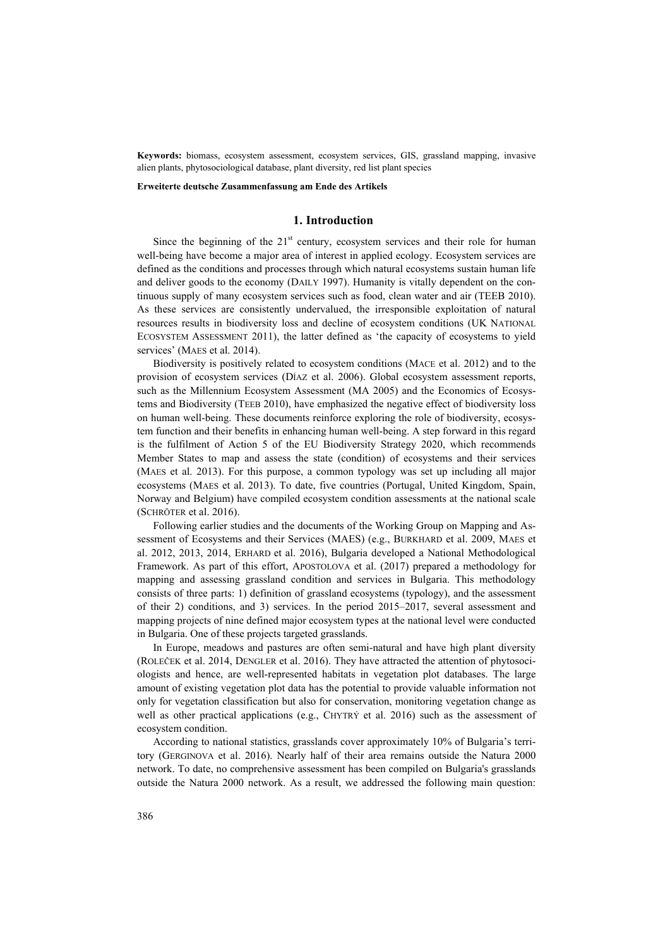**Keywords:** biomass, ecosystem assessment, ecosystem services, GIS, grassland mapping, invasive alien plants, phytosociological database, plant diversity, red list plant species

**Erweiterte deutsche Zusammenfassung am Ende des Artikels**

#### **1. Introduction**

Since the beginning of the  $21<sup>st</sup>$  century, ecosystem services and their role for human well-being have become a major area of interest in applied ecology. Ecosystem services are defined as the conditions and processes through which natural ecosystems sustain human life and deliver goods to the economy (DAILY 1997). Humanity is vitally dependent on the continuous supply of many ecosystem services such as food, clean water and air (TEEB 2010). As these services are consistently undervalued, the irresponsible exploitation of natural resources results in biodiversity loss and decline of ecosystem conditions (UK NATIONAL ECOSYSTEM ASSESSMENT 2011), the latter defined as 'the capacity of ecosystems to yield services' (MAES et al. 2014).

Biodiversity is positively related to ecosystem conditions (MACE et al. 2012) and to the provision of ecosystem services (DÍAZ et al. 2006). Global ecosystem assessment reports, such as the Millennium Ecosystem Assessment (MA 2005) and the Economics of Ecosystems and Biodiversity (TEEB 2010), have emphasized the negative effect of biodiversity loss on human well-being. These documents reinforce exploring the role of biodiversity, ecosystem function and their benefits in enhancing human well-being. A step forward in this regard is the fulfilment of Action 5 of the EU Biodiversity Strategy 2020, which recommends Member States to map and assess the state (condition) of ecosystems and their services (MAES et al. 2013). For this purpose, a common typology was set up including all major ecosystems (MAES et al. 2013). To date, five countries (Portugal, United Kingdom, Spain, Norway and Belgium) have compiled ecosystem condition assessments at the national scale (SCHRÖTER et al. 2016).

Following earlier studies and the documents of the Working Group on Mapping and Assessment of Ecosystems and their Services (MAES) (e.g., BURKHARD et al. 2009, MAES et al. 2012, 2013, 2014, ERHARD et al. 2016), Bulgaria developed a National Methodological Framework. As part of this effort, APOSTOLOVA et al. (2017) prepared a methodology for mapping and assessing grassland condition and services in Bulgaria. This methodology consists of three parts: 1) definition of grassland ecosystems (typology), and the assessment of their 2) conditions, and 3) services. In the period 2015–2017, several assessment and mapping projects of nine defined major ecosystem types at the national level were conducted in Bulgaria. One of these projects targeted grasslands.

In Europe, meadows and pastures are often semi-natural and have high plant diversity (ROLEČEK et al. 2014, DENGLER et al. 2016). They have attracted the attention of phytosociologists and hence, are well-represented habitats in vegetation plot databases. The large amount of existing vegetation plot data has the potential to provide valuable information not only for vegetation classification but also for conservation, monitoring vegetation change as well as other practical applications (e.g., CHYTRÝ et al. 2016) such as the assessment of ecosystem condition.

According to national statistics, grasslands cover approximately 10% of Bulgaria's territory (GERGINOVA et al. 2016). Nearly half of their area remains outside the Natura 2000 network. To date, no comprehensive assessment has been compiled on Bulgaria's grasslands outside the Natura 2000 network. As a result, we addressed the following main question: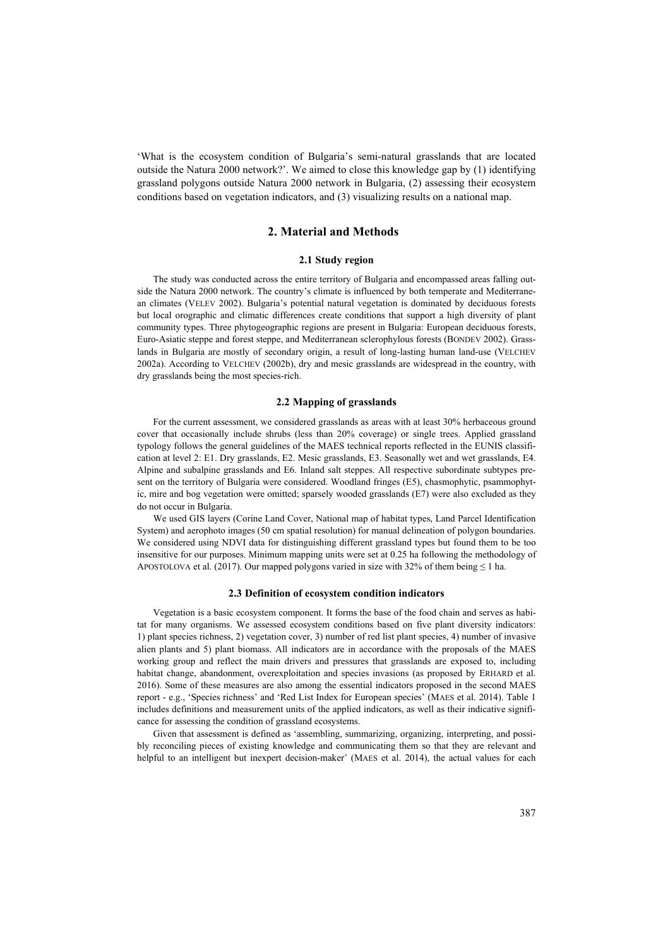'What is the ecosystem condition of Bulgaria's semi-natural grasslands that are located outside the Natura 2000 network?'. We aimed to close this knowledge gap by (1) identifying grassland polygons outside Natura 2000 network in Bulgaria, (2) assessing their ecosystem conditions based on vegetation indicators, and (3) visualizing results on a national map.

## **2. Material and Methods**

#### **2.1 Study region**

The study was conducted across the entire territory of Bulgaria and encompassed areas falling outside the Natura 2000 network. The country's climate is influenced by both temperate and Mediterranean climates (VELEV 2002). Bulgaria's potential natural vegetation is dominated by deciduous forests but local orographic and climatic differences create conditions that support a high diversity of plant community types. Three phytogeographic regions are present in Bulgaria: European deciduous forests, Euro-Asiatic steppe and forest steppe, and Mediterranean sclerophylous forests (BONDEV 2002). Grasslands in Bulgaria are mostly of secondary origin, a result of long-lasting human land-use (VELCHEV 2002a). According to VELCHEV (2002b), dry and mesic grasslands are widespread in the country, with dry grasslands being the most species-rich.

#### **2.2 Mapping of grasslands**

For the current assessment, we considered grasslands as areas with at least 30% herbaceous ground cover that occasionally include shrubs (less than 20% coverage) or single trees. Applied grassland typology follows the general guidelines of the MAES technical reports reflected in the EUNIS classification at level 2: E1. Dry grasslands, E2. Mesic grasslands, E3. Seasonally wet and wet grasslands, E4. Alpine and subalpine grasslands and E6. Inland salt steppes. All respective subordinate subtypes present on the territory of Bulgaria were considered. Woodland fringes (E5), chasmophytic, psammophytic, mire and bog vegetation were omitted; sparsely wooded grasslands (E7) were also excluded as they do not occur in Bulgaria.

We used GIS layers (Corine Land Cover, National map of habitat types, Land Parcel Identification System) and aerophoto images (50 cm spatial resolution) for manual delineation of polygon boundaries. We considered using NDVI data for distinguishing different grassland types but found them to be too insensitive for our purposes. Minimum mapping units were set at 0.25 ha following the methodology of APOSTOLOVA et al. (2017). Our mapped polygons varied in size with 32% of them being  $\leq 1$  ha.

### **2.3 Definition of ecosystem condition indicators**

Vegetation is a basic ecosystem component. It forms the base of the food chain and serves as habitat for many organisms. We assessed ecosystem conditions based on five plant diversity indicators: 1) plant species richness, 2) vegetation cover, 3) number of red list plant species, 4) number of invasive alien plants and 5) plant biomass. All indicators are in accordance with the proposals of the MAES working group and reflect the main drivers and pressures that grasslands are exposed to, including habitat change, abandonment, overexploitation and species invasions (as proposed by ERHARD et al. 2016). Some of these measures are also among the essential indicators proposed in the second MAES report - e.g., 'Species richness' and 'Red List Index for European species' (MAES et al. 2014). Table 1 includes definitions and measurement units of the applied indicators, as well as their indicative significance for assessing the condition of grassland ecosystems.

Given that assessment is defined as 'assembling, summarizing, organizing, interpreting, and possibly reconciling pieces of existing knowledge and communicating them so that they are relevant and helpful to an intelligent but inexpert decision-maker' (MAES et al. 2014), the actual values for each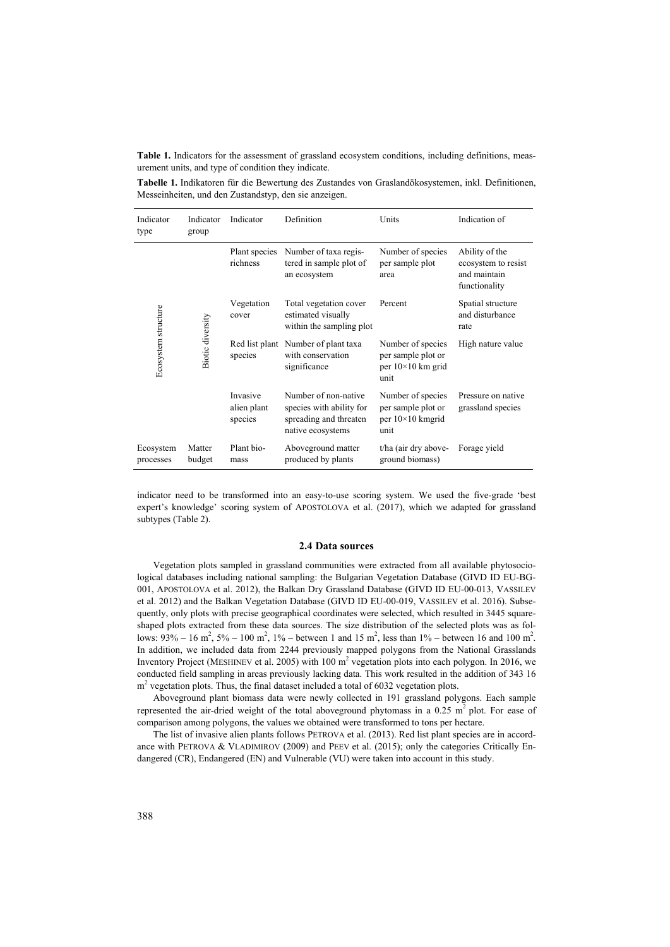**Table 1.** Indicators for the assessment of grassland ecosystem conditions, including definitions, measurement units, and type of condition they indicate.

**Tabelle 1.** Indikatoren für die Bewertung des Zustandes von Graslandökosystemen, inkl. Definitionen, Messeinheiten, und den Zustandstyp, den sie anzeigen.

| Indicator<br>type      | Indicator<br>group | Indicator                          | Definition                                                                                      | Units                                                                       | Indication of                                                          |
|------------------------|--------------------|------------------------------------|-------------------------------------------------------------------------------------------------|-----------------------------------------------------------------------------|------------------------------------------------------------------------|
|                        |                    | Plant species<br>richness          | Number of taxa regis-<br>tered in sample plot of<br>an ecosystem                                | Number of species<br>per sample plot<br>area                                | Ability of the<br>ecosystem to resist<br>and maintain<br>functionality |
|                        |                    | Vegetation<br>cover                | Total vegetation cover<br>estimated visually<br>within the sampling plot                        | Percent                                                                     | Spatial structure<br>and disturbance<br>rate                           |
| Ecosystem structure    | Biotic diversity   | species                            | Red list plant Number of plant taxa<br>with conservation<br>significance                        | Number of species<br>per sample plot or<br>per $10\times10$ km grid<br>unit | High nature value                                                      |
|                        |                    | Invasive<br>alien plant<br>species | Number of non-native<br>species with ability for<br>spreading and threaten<br>native ecosystems | Number of species<br>per sample plot or<br>per $10\times10$ km grid<br>unit | Pressure on native<br>grassland species                                |
| Ecosystem<br>processes | Matter<br>budget   | Plant bio-<br>mass                 | Aboveground matter<br>produced by plants                                                        | t/ha (air dry above-<br>ground biomass)                                     | Forage yield                                                           |

indicator need to be transformed into an easy-to-use scoring system. We used the five-grade 'best expert's knowledge' scoring system of APOSTOLOVA et al. (2017), which we adapted for grassland subtypes (Table 2).

#### **2.4 Data sources**

Vegetation plots sampled in grassland communities were extracted from all available phytosociological databases including national sampling: the Bulgarian Vegetation Database (GIVD ID EU-BG-001, APOSTOLOVA et al. 2012), the Balkan Dry Grassland Database (GIVD ID EU-00-013, VASSILEV et al. 2012) and the Balkan Vegetation Database (GIVD ID EU-00-019, VASSILEV et al. 2016). Subsequently, only plots with precise geographical coordinates were selected, which resulted in 3445 squareshaped plots extracted from these data sources. The size distribution of the selected plots was as follows:  $93\% - 16$  m<sup>2</sup>,  $5\% - 100$  m<sup>2</sup>,  $1\% -$  between 1 and 15 m<sup>2</sup>, less than  $1\% -$  between 16 and 100 m<sup>2</sup>. In addition, we included data from 2244 previously mapped polygons from the National Grasslands Inventory Project (MESHINEV et al. 2005) with 100 m<sup>2</sup> vegetation plots into each polygon. In 2016, we conducted field sampling in areas previously lacking data. This work resulted in the addition of 343 16  $m<sup>2</sup>$  vegetation plots. Thus, the final dataset included a total of 6032 vegetation plots.

Aboveground plant biomass data were newly collected in 191 grassland polygons. Each sample represented the air-dried weight of the total aboveground phytomass in a  $0.25 \text{ m}^2$  plot. For ease of comparison among polygons, the values we obtained were transformed to tons per hectare.

The list of invasive alien plants follows PETROVA et al. (2013). Red list plant species are in accordance with PETROVA & VLADIMIROV (2009) and PEEV et al. (2015); only the categories Critically Endangered (CR), Endangered (EN) and Vulnerable (VU) were taken into account in this study.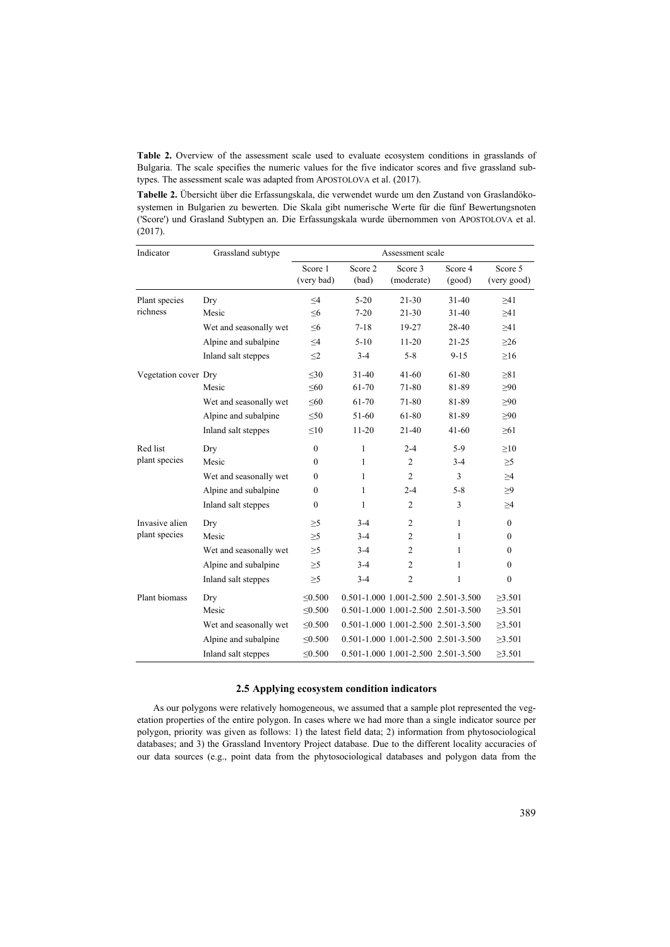**Table 2.** Overview of the assessment scale used to evaluate ecosystem conditions in grasslands of Bulgaria. The scale specifies the numeric values for the five indicator scores and five grassland subtypes. The assessment scale was adapted from APOSTOLOVA et al. (2017).

**Tabelle 2.** Übersicht über die Erfassungskala, die verwendet wurde um den Zustand von Graslandökosystemen in Bulgarien zu bewerten. Die Skala gibt numerische Werte für die fünf Bewertungsnoten ('Score') und Grasland Subtypen an. Die Erfassungskala wurde übernommen von APOSTOLOVA et al. (2017).

| Indicator            | Grassland subtype      |                       |                  | Assessment scale                    |                                     |                        |
|----------------------|------------------------|-----------------------|------------------|-------------------------------------|-------------------------------------|------------------------|
|                      |                        | Score 1<br>(very bad) | Score 2<br>(bad) | Score 3<br>(moderate)               | Score 4<br>(good)                   | Score 5<br>(very good) |
| Plant species        | Dry                    | $\leq$ 4              | $5 - 20$         | $21 - 30$                           | $31-40$                             | >41                    |
| richness             | Mesic                  | $\leq 6$              | $7 - 20$         | $21 - 30$                           | $31 - 40$                           | $\geq 41$              |
|                      | Wet and seasonally wet | $\leq 6$              | $7 - 18$         | 19-27                               | 28-40                               | >41                    |
|                      | Alpine and subalpine   | $\leq$ 4              | $5-10$           | $11 - 20$                           | $21 - 25$                           | $>26$                  |
|                      | Inland salt steppes    | $2$                   | $3-4$            | $5 - 8$                             | $9 - 15$                            | $\geq 16$              |
| Vegetation cover Dry |                        | $<$ 30                | $31 - 40$        | $41 - 60$                           | 61-80                               | >81                    |
|                      | Mesic                  | $\leq 60$             | 61-70            | 71-80                               | 81-89                               | >90                    |
|                      | Wet and seasonally wet | $\leq 60$             | 61-70            | 71-80                               | 81-89                               | $\geq 90$              |
|                      | Alpine and subalpine   | < 50                  | $51-60$          | 61-80                               | 81-89                               | >90                    |
|                      | Inland salt steppes    | <10                   | $11 - 20$        | $21 - 40$                           | $41-60$                             | $\geq 61$              |
| Red list             | Dry                    | $\mathbf{0}$          | 1                | $2 - 4$                             | $5-9$                               | >10                    |
| plant species        | Mesic                  | $\mathbf{0}$          | 1                | $\overline{2}$                      | $3-4$                               | $\geq 5$               |
|                      | Wet and seasonally wet | $\mathbf{0}$          | 1                | $\overline{2}$                      | 3                                   | $\geq$ 4               |
|                      | Alpine and subalpine   | $\mathbf{0}$          | $\mathbf{1}$     | $2 - 4$                             | $5 - 8$                             | $\geq 9$               |
|                      | Inland salt steppes    | $\Omega$              | 1                | $\overline{c}$                      | 3                                   | $\geq$ 4               |
| Invasive alien       | Dry                    | $\geq 5$              | $3-4$            | $\overline{2}$                      | 1                                   | $\Omega$               |
| plant species        | Mesic                  | $\geq 5$              | $3-4$            | $\overline{2}$                      | 1                                   | $\mathbf{0}$           |
|                      | Wet and seasonally wet | $\geq 5$              | $3-4$            | $\overline{2}$                      | 1                                   | $\mathbf{0}$           |
|                      | Alpine and subalpine   | $\geq 5$              | $3-4$            | $\overline{2}$                      | 1                                   | $\mathbf{0}$           |
|                      | Inland salt steppes    | $\geq 5$              | $3-4$            | $\overline{2}$                      | 1                                   | $\mathbf{0}$           |
| Plant biomass        | Dry                    | < 0.500               |                  |                                     | 0.501-1.000 1.001-2.500 2.501-3.500 | >3.501                 |
|                      | Mesic                  | $\leq 0.500$          |                  | 0.501-1.000 1.001-2.500 2.501-3.500 |                                     | $\geq 3.501$           |
|                      | Wet and seasonally wet | $\leq 0.500$          |                  |                                     | 0.501-1.000 1.001-2.500 2.501-3.500 | $\geq 3.501$           |
|                      | Alpine and subalpine   | < 0.500               |                  | 0.501-1.000 1.001-2.500 2.501-3.500 |                                     | $\geq 3.501$           |
|                      | Inland salt steppes    | < 0.500               |                  | 0.501-1.000 1.001-2.500 2.501-3.500 |                                     | $\geq 3.501$           |

## **2.5 Applying ecosystem condition indicators**

As our polygons were relatively homogeneous, we assumed that a sample plot represented the vegetation properties of the entire polygon. In cases where we had more than a single indicator source per polygon, priority was given as follows: 1) the latest field data; 2) information from phytosociological databases; and 3) the Grassland Inventory Project database. Due to the different locality accuracies of our data sources (e.g., point data from the phytosociological databases and polygon data from the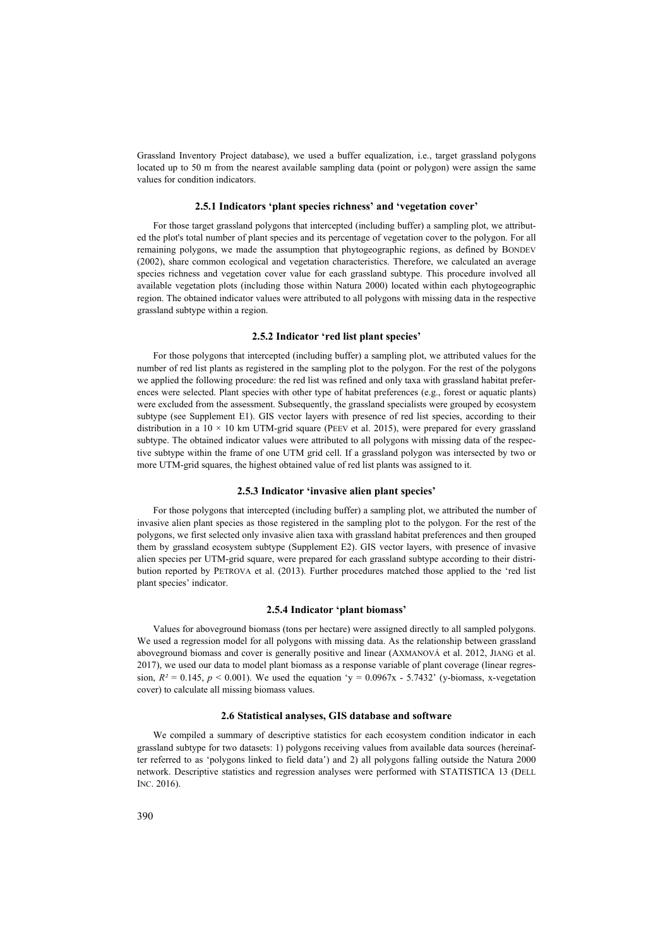Grassland Inventory Project database), we used a buffer equalization, i.e., target grassland polygons located up to 50 m from the nearest available sampling data (point or polygon) were assign the same values for condition indicators.

#### **2.5.1 Indicators 'plant species richness' and 'vegetation cover'**

For those target grassland polygons that intercepted (including buffer) a sampling plot, we attributed the plot's total number of plant species and its percentage of vegetation cover to the polygon. For all remaining polygons, we made the assumption that phytogeographic regions, as defined by BONDEV (2002), share common ecological and vegetation characteristics. Therefore, we calculated an average species richness and vegetation cover value for each grassland subtype. This procedure involved all available vegetation plots (including those within Natura 2000) located within each phytogeographic region. The obtained indicator values were attributed to all polygons with missing data in the respective grassland subtype within a region.

#### **2.5.2 Indicator 'red list plant species'**

For those polygons that intercepted (including buffer) a sampling plot, we attributed values for the number of red list plants as registered in the sampling plot to the polygon. For the rest of the polygons we applied the following procedure: the red list was refined and only taxa with grassland habitat preferences were selected. Plant species with other type of habitat preferences (e.g., forest or aquatic plants) were excluded from the assessment. Subsequently, the grassland specialists were grouped by ecosystem subtype (see Supplement E1). GIS vector layers with presence of red list species, according to their distribution in a  $10 \times 10$  km UTM-grid square (PEEV et al. 2015), were prepared for every grassland subtype. The obtained indicator values were attributed to all polygons with missing data of the respective subtype within the frame of one UTM grid cell. If a grassland polygon was intersected by two or more UTM-grid squares, the highest obtained value of red list plants was assigned to it.

#### **2.5.3 Indicator 'invasive alien plant species'**

For those polygons that intercepted (including buffer) a sampling plot, we attributed the number of invasive alien plant species as those registered in the sampling plot to the polygon. For the rest of the polygons, we first selected only invasive alien taxa with grassland habitat preferences and then grouped them by grassland ecosystem subtype (Supplement E2). GIS vector layers, with presence of invasive alien species per UTM-grid square, were prepared for each grassland subtype according to their distribution reported by PETROVA et al. (2013). Further procedures matched those applied to the 'red list plant species' indicator.

#### **2.5.4 Indicator 'plant biomass'**

Values for aboveground biomass (tons per hectare) were assigned directly to all sampled polygons. We used a regression model for all polygons with missing data. As the relationship between grassland aboveground biomass and cover is generally positive and linear (AXMANOVÁ et al. 2012, JIANG et al. 2017), we used our data to model plant biomass as a response variable of plant coverage (linear regression,  $R^2 = 0.145$ ,  $p < 0.001$ ). We used the equation 'y =  $0.0967x - 5.7432$ ' (y-biomass, x-vegetation cover) to calculate all missing biomass values.

#### **2.6 Statistical analyses, GIS database and software**

We compiled a summary of descriptive statistics for each ecosystem condition indicator in each grassland subtype for two datasets: 1) polygons receiving values from available data sources (hereinafter referred to as 'polygons linked to field data') and 2) all polygons falling outside the Natura 2000 network. Descriptive statistics and regression analyses were performed with STATISTICA 13 (DELL INC. 2016).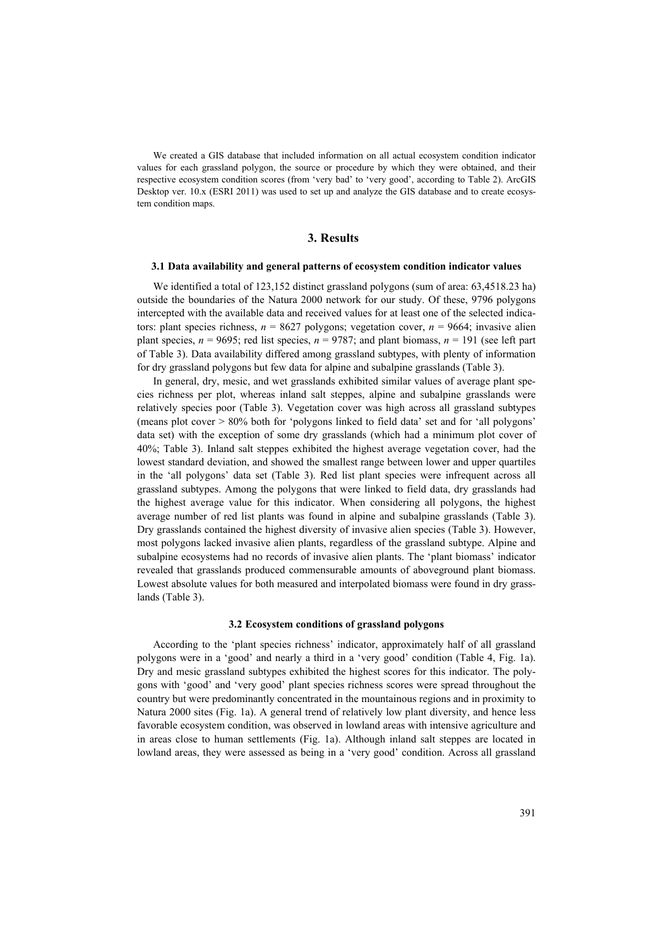We created a GIS database that included information on all actual ecosystem condition indicator values for each grassland polygon, the source or procedure by which they were obtained, and their respective ecosystem condition scores (from 'very bad' to 'very good', according to Table 2). ArcGIS Desktop ver. 10.x (ESRI 2011) was used to set up and analyze the GIS database and to create ecosystem condition maps.

## **3. Results**

#### **3.1 Data availability and general patterns of ecosystem condition indicator values**

We identified a total of 123,152 distinct grassland polygons (sum of area: 63,4518.23 ha) outside the boundaries of the Natura 2000 network for our study. Of these, 9796 polygons intercepted with the available data and received values for at least one of the selected indicators: plant species richness, *n* = 8627 polygons; vegetation cover, *n* = 9664; invasive alien plant species,  $n = 9695$ ; red list species,  $n = 9787$ ; and plant biomass,  $n = 191$  (see left part of Table 3). Data availability differed among grassland subtypes, with plenty of information for dry grassland polygons but few data for alpine and subalpine grasslands (Table 3).

In general, dry, mesic, and wet grasslands exhibited similar values of average plant species richness per plot, whereas inland salt steppes, alpine and subalpine grasslands were relatively species poor (Table 3). Vegetation cover was high across all grassland subtypes (means plot cover > 80% both for 'polygons linked to field data' set and for 'all polygons' data set) with the exception of some dry grasslands (which had a minimum plot cover of 40%; Table 3). Inland salt steppes exhibited the highest average vegetation cover, had the lowest standard deviation, and showed the smallest range between lower and upper quartiles in the 'all polygons' data set (Table 3). Red list plant species were infrequent across all grassland subtypes. Among the polygons that were linked to field data, dry grasslands had the highest average value for this indicator. When considering all polygons, the highest average number of red list plants was found in alpine and subalpine grasslands (Table 3). Dry grasslands contained the highest diversity of invasive alien species (Table 3). However, most polygons lacked invasive alien plants, regardless of the grassland subtype. Alpine and subalpine ecosystems had no records of invasive alien plants. The 'plant biomass' indicator revealed that grasslands produced commensurable amounts of aboveground plant biomass. Lowest absolute values for both measured and interpolated biomass were found in dry grasslands (Table 3).

#### **3.2 Ecosystem conditions of grassland polygons**

According to the 'plant species richness' indicator, approximately half of all grassland polygons were in a 'good' and nearly a third in a 'very good' condition (Table 4, Fig. 1a). Dry and mesic grassland subtypes exhibited the highest scores for this indicator. The polygons with 'good' and 'very good' plant species richness scores were spread throughout the country but were predominantly concentrated in the mountainous regions and in proximity to Natura 2000 sites (Fig. 1a). A general trend of relatively low plant diversity, and hence less favorable ecosystem condition, was observed in lowland areas with intensive agriculture and in areas close to human settlements (Fig. 1a). Although inland salt steppes are located in lowland areas, they were assessed as being in a 'very good' condition. Across all grassland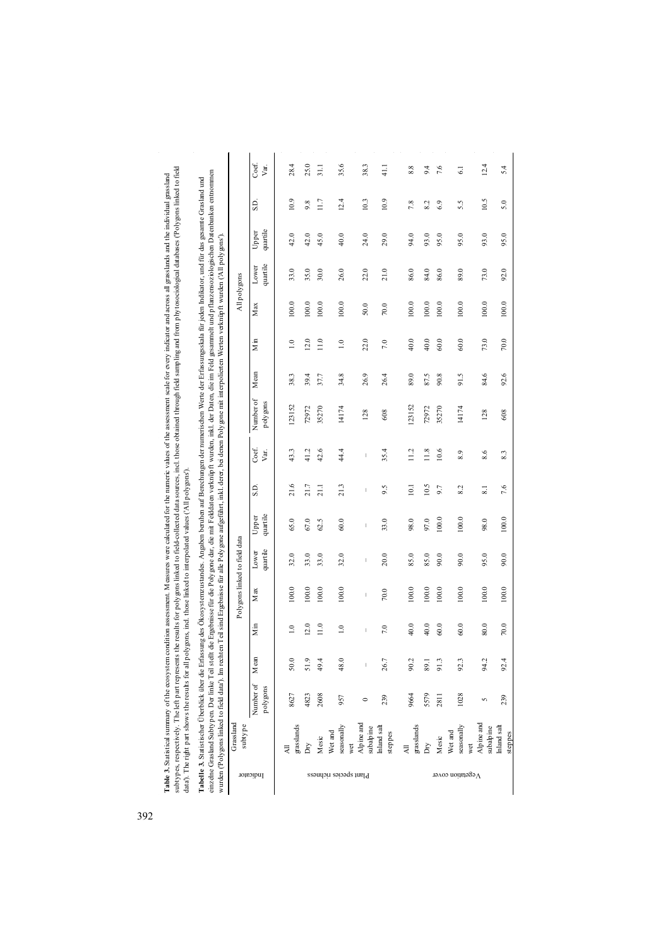Table 3. Statistical summary of the ecosystem condition assessment. Measures were caluated for the numeric values of the assessment scale for every indictior and across all grasslands and the individual grassland<br>subtypes, subtypes, respectively. The left part represents the results for polygons linked to field-collected data sources, incl. those obtained through field sampling and from phytosociological databases ('Polygons linked to field **Table 3.** Statistical summary of the ecosystem condition assessment. Measures were calculated for the assessment scale for every indicator and across all grasslands and the individual grassland data'). The right part shows the results for all polygons, incl. those linked to interpolated values ('All polygons').

| $\ddot{\phantom{a}}$<br>ir radan In        | į<br>j<br>i<br>i<br>I<br>a m                                                                                            | j<br>v. certer                                                        |  |
|--------------------------------------------|-------------------------------------------------------------------------------------------------------------------------|-----------------------------------------------------------------------|--|
| conta can<br>J<br>j<br>her                 | ""dep. inkl. der Daten zu-<br>Ì<br>ot an<br>is the<br><b>CONTRACTOR</b><br>$\overline{\phantom{a}}$<br>ī<br>Der linke T | ai d'anan<br>ca deperter<br>l<br>í<br>š<br>١<br>$\frac{1}{4}$<br>r ar |  |
| $t$ atietie obar<br>Š<br>l<br><b>Color</b> | "inzelne Grasland Subtvnen. De-                                                                                         | wurden ("Polygons link                                                |  |

|                           | Grassland<br>subtype                        |                       |         |                                                                                                                                                                                                                                                                                                                                                                                  |                                                                                                                                                                                                                                                                                                                                                                                  | Polygons linked to field data                                                                                                                                                                                                                                                                                                                                                    |                                |                                                                                                                                                                                                                                                                                                                                                                                  |                                                                                                                                                                                                                                                                                                                                                                                  |                       |                  |                  | All polygons |                   |                   |      |                 |
|---------------------------|---------------------------------------------|-----------------------|---------|----------------------------------------------------------------------------------------------------------------------------------------------------------------------------------------------------------------------------------------------------------------------------------------------------------------------------------------------------------------------------------|----------------------------------------------------------------------------------------------------------------------------------------------------------------------------------------------------------------------------------------------------------------------------------------------------------------------------------------------------------------------------------|----------------------------------------------------------------------------------------------------------------------------------------------------------------------------------------------------------------------------------------------------------------------------------------------------------------------------------------------------------------------------------|--------------------------------|----------------------------------------------------------------------------------------------------------------------------------------------------------------------------------------------------------------------------------------------------------------------------------------------------------------------------------------------------------------------------------|----------------------------------------------------------------------------------------------------------------------------------------------------------------------------------------------------------------------------------------------------------------------------------------------------------------------------------------------------------------------------------|-----------------------|------------------|------------------|--------------|-------------------|-------------------|------|-----------------|
| Indicator                 |                                             | Number of<br>polygons | $M$ ean | $\mathbf{M}$ in                                                                                                                                                                                                                                                                                                                                                                  | M ax                                                                                                                                                                                                                                                                                                                                                                             | quartile<br>Lower                                                                                                                                                                                                                                                                                                                                                                | quartile<br>Upper              | S.D.                                                                                                                                                                                                                                                                                                                                                                             | Coef.<br>Var.                                                                                                                                                                                                                                                                                                                                                                    | Number of<br>polygons | M <sub>can</sub> | $\sum_{m}$       | M ax         | quartile<br>Lower | quartile<br>Upper | SD.  | Coef.<br>Var.   |
|                           | $grass$ lands                               | 8627                  | 50.0    | $\overline{1.0}$                                                                                                                                                                                                                                                                                                                                                                 | 100.0                                                                                                                                                                                                                                                                                                                                                                            | 32.0                                                                                                                                                                                                                                                                                                                                                                             | 65.0                           | 21.6                                                                                                                                                                                                                                                                                                                                                                             | 43.3                                                                                                                                                                                                                                                                                                                                                                             | 123152                | 38.3             | 1.0              | 100.0        | 33.0              | 42.0              | 10.9 | 28.4            |
|                           | ΔŅ                                          | 4823                  | 51.9    | 12.0                                                                                                                                                                                                                                                                                                                                                                             | 100.0                                                                                                                                                                                                                                                                                                                                                                            | 33.0                                                                                                                                                                                                                                                                                                                                                                             | 67.0                           | 21.7                                                                                                                                                                                                                                                                                                                                                                             | 41.2                                                                                                                                                                                                                                                                                                                                                                             | 72972                 | 39.4             | 12.0             | 100.0        | 35.0              | 42.0              | 9.8  | 25.0            |
|                           | Mesic                                       | 2608                  | 49.4    | 11.0                                                                                                                                                                                                                                                                                                                                                                             | 100.0                                                                                                                                                                                                                                                                                                                                                                            | 33.0                                                                                                                                                                                                                                                                                                                                                                             | 62.5                           | 21.1                                                                                                                                                                                                                                                                                                                                                                             | 42.6                                                                                                                                                                                                                                                                                                                                                                             | 35270                 | 37.7             | 1.0              | 100.0        | 30.0              | 45.0              | 11.7 | $\frac{11}{2}$  |
| Plant species richness    | seasonally<br>Wet and                       | 957                   | 48.0    | $\overline{1.0}$                                                                                                                                                                                                                                                                                                                                                                 | 100.0                                                                                                                                                                                                                                                                                                                                                                            | 32.0                                                                                                                                                                                                                                                                                                                                                                             | $60.0$                         | 21.3                                                                                                                                                                                                                                                                                                                                                                             | 44.4                                                                                                                                                                                                                                                                                                                                                                             | 14174                 | 34.8             | $\overline{1.0}$ | 100.0        | 26.0              | 40.0              | 12.4 | 35.6            |
|                           | Alpine and<br>wet                           |                       | $\mid$  | $\begin{array}{c} \rule{0pt}{2.5ex} \rule{0pt}{2.5ex} \rule{0pt}{2.5ex} \rule{0pt}{2.5ex} \rule{0pt}{2.5ex} \rule{0pt}{2.5ex} \rule{0pt}{2.5ex} \rule{0pt}{2.5ex} \rule{0pt}{2.5ex} \rule{0pt}{2.5ex} \rule{0pt}{2.5ex} \rule{0pt}{2.5ex} \rule{0pt}{2.5ex} \rule{0pt}{2.5ex} \rule{0pt}{2.5ex} \rule{0pt}{2.5ex} \rule{0pt}{2.5ex} \rule{0pt}{2.5ex} \rule{0pt}{2.5ex} \rule{0$ | $\begin{array}{c} \rule{0pt}{2.5ex} \rule{0pt}{2.5ex} \rule{0pt}{2.5ex} \rule{0pt}{2.5ex} \rule{0pt}{2.5ex} \rule{0pt}{2.5ex} \rule{0pt}{2.5ex} \rule{0pt}{2.5ex} \rule{0pt}{2.5ex} \rule{0pt}{2.5ex} \rule{0pt}{2.5ex} \rule{0pt}{2.5ex} \rule{0pt}{2.5ex} \rule{0pt}{2.5ex} \rule{0pt}{2.5ex} \rule{0pt}{2.5ex} \rule{0pt}{2.5ex} \rule{0pt}{2.5ex} \rule{0pt}{2.5ex} \rule{0$ | $\begin{array}{c} \rule{0pt}{2.5ex} \rule{0pt}{2.5ex} \rule{0pt}{2.5ex} \rule{0pt}{2.5ex} \rule{0pt}{2.5ex} \rule{0pt}{2.5ex} \rule{0pt}{2.5ex} \rule{0pt}{2.5ex} \rule{0pt}{2.5ex} \rule{0pt}{2.5ex} \rule{0pt}{2.5ex} \rule{0pt}{2.5ex} \rule{0pt}{2.5ex} \rule{0pt}{2.5ex} \rule{0pt}{2.5ex} \rule{0pt}{2.5ex} \rule{0pt}{2.5ex} \rule{0pt}{2.5ex} \rule{0pt}{2.5ex} \rule{0$ | $\begin{array}{c} \end{array}$ | $\begin{array}{c} \rule{0pt}{2.5ex} \rule{0pt}{2.5ex} \rule{0pt}{2.5ex} \rule{0pt}{2.5ex} \rule{0pt}{2.5ex} \rule{0pt}{2.5ex} \rule{0pt}{2.5ex} \rule{0pt}{2.5ex} \rule{0pt}{2.5ex} \rule{0pt}{2.5ex} \rule{0pt}{2.5ex} \rule{0pt}{2.5ex} \rule{0pt}{2.5ex} \rule{0pt}{2.5ex} \rule{0pt}{2.5ex} \rule{0pt}{2.5ex} \rule{0pt}{2.5ex} \rule{0pt}{2.5ex} \rule{0pt}{2.5ex} \rule{0$ | $\begin{array}{c} \rule{0pt}{2.5ex} \rule{0pt}{2.5ex} \rule{0pt}{2.5ex} \rule{0pt}{2.5ex} \rule{0pt}{2.5ex} \rule{0pt}{2.5ex} \rule{0pt}{2.5ex} \rule{0pt}{2.5ex} \rule{0pt}{2.5ex} \rule{0pt}{2.5ex} \rule{0pt}{2.5ex} \rule{0pt}{2.5ex} \rule{0pt}{2.5ex} \rule{0pt}{2.5ex} \rule{0pt}{2.5ex} \rule{0pt}{2.5ex} \rule{0pt}{2.5ex} \rule{0pt}{2.5ex} \rule{0pt}{2.5ex} \rule{0$ | 128                   | 26.9             | 22.0             | 50.0         | 22.0              | 24.0              | 10.3 | 38.3            |
|                           | $\!$ subalp ine $\!$ Inland salt<br>steppes | 239                   | 26.7    | 7.0                                                                                                                                                                                                                                                                                                                                                                              | 70.0                                                                                                                                                                                                                                                                                                                                                                             | 20.0                                                                                                                                                                                                                                                                                                                                                                             | 33.0                           | 9.5                                                                                                                                                                                                                                                                                                                                                                              | 35.4                                                                                                                                                                                                                                                                                                                                                                             | 608                   | 26.4             | 7.0              | $70.0$       | 21.0              | 29.0              | 10.9 | 41.1            |
|                           | grasslands<br>$\overline{A}$                | 9664                  | 90.2    | 40.0                                                                                                                                                                                                                                                                                                                                                                             | 100.0                                                                                                                                                                                                                                                                                                                                                                            | 85.0                                                                                                                                                                                                                                                                                                                                                                             | 98.0                           | 10.1                                                                                                                                                                                                                                                                                                                                                                             | 11.2                                                                                                                                                                                                                                                                                                                                                                             | 123152                | 89.0             | 40.0             | 100.0        | 86.0              | 94.0              | 7.8  | 8.8             |
|                           | ΔĎ                                          | 5579                  | 89.1    | 40.0                                                                                                                                                                                                                                                                                                                                                                             | 100.0                                                                                                                                                                                                                                                                                                                                                                            | 85.0                                                                                                                                                                                                                                                                                                                                                                             | 97.0                           | 10.5                                                                                                                                                                                                                                                                                                                                                                             | 11.8                                                                                                                                                                                                                                                                                                                                                                             | 72972                 | 87.5             | 40.0             | 100.0        | 84.0              | 93.0              | 8.2  | 9.4             |
|                           | Mesic                                       | 2811                  | 91.3    | 60.0                                                                                                                                                                                                                                                                                                                                                                             | 100.0                                                                                                                                                                                                                                                                                                                                                                            | 90.0                                                                                                                                                                                                                                                                                                                                                                             | 100.0                          | 9.7                                                                                                                                                                                                                                                                                                                                                                              | 10.6                                                                                                                                                                                                                                                                                                                                                                             | 35270                 | 90.8             | 60.0             | 100.0        | 86.0              | 95.0              | 6.9  | 7.6             |
| $\Lambda$ egetation cover | seasonally<br>Wet and                       | 1028                  | 92.3    | $60.0$                                                                                                                                                                                                                                                                                                                                                                           | 100.0                                                                                                                                                                                                                                                                                                                                                                            | 90.0                                                                                                                                                                                                                                                                                                                                                                             | 100.0                          | 8.2                                                                                                                                                                                                                                                                                                                                                                              | 8.9                                                                                                                                                                                                                                                                                                                                                                              | 14174                 | 91.5             | $60.0$           | 100.0        | 89.0              | 95.0              | 5.5  | $\overline{61}$ |
|                           | Alpine and<br>subalp ine<br>wet             |                       | 94.2    | 80.0                                                                                                                                                                                                                                                                                                                                                                             | 100.0                                                                                                                                                                                                                                                                                                                                                                            | 95.0                                                                                                                                                                                                                                                                                                                                                                             | 98.0                           | ್                                                                                                                                                                                                                                                                                                                                                                                | 8.6                                                                                                                                                                                                                                                                                                                                                                              | 128                   | 84.6             | 73.0             | 100.0        | 73.0              | 93.0              | 10.5 | 12.4            |
|                           | Inland salt<br>tannac                       | 239                   | 92.4    | $70.0\,$                                                                                                                                                                                                                                                                                                                                                                         | $100.0$                                                                                                                                                                                                                                                                                                                                                                          | 90.0                                                                                                                                                                                                                                                                                                                                                                             | $100.0$                        | 7.6                                                                                                                                                                                                                                                                                                                                                                              | 8.3                                                                                                                                                                                                                                                                                                                                                                              | 608                   | 92.6             | $70.0$           | 100.0        | 92.0              | 95.0              | 5.0  | 5.4             |

steppes

392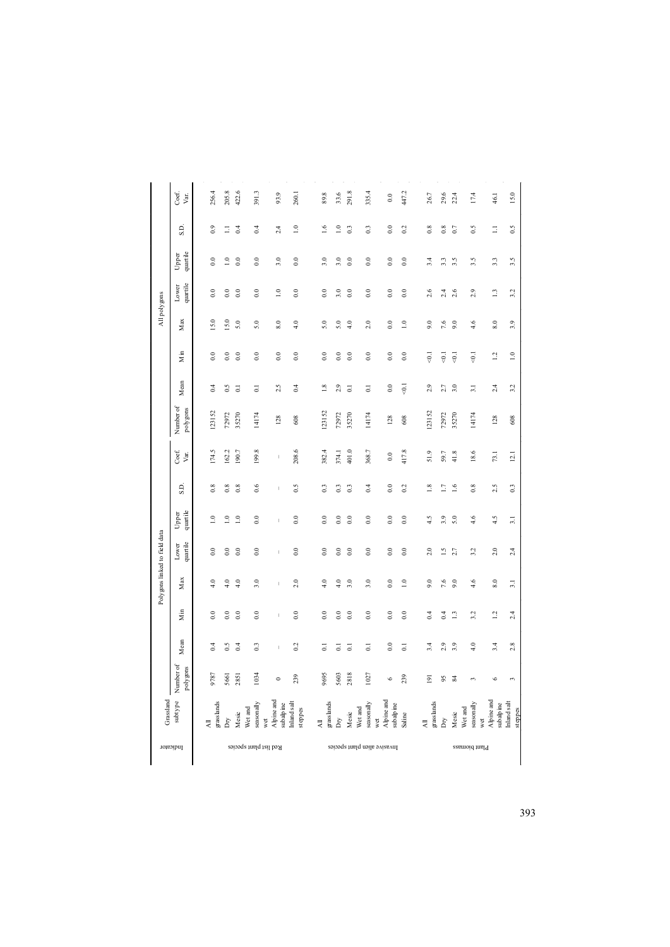| iber of<br>gons | Mean<br>0.4        | Min<br>$\overline{0}$      | Polygons linked to field data<br>Max<br>4.0 | quartile<br>Lower<br>$_{0.0}$ | quartile<br>Upper<br>$\supseteq$           | S.D.<br>0.8                           | 174.5<br>Coef.<br>Var. | Number of<br>polygons<br>123152 | Mean<br>$\approx$               | Min<br>$_{0.0}$          | Max<br>15.0 | quartile<br>Lower<br>$_{0.0}$<br>All polygons | quartile<br>Upper<br>$\rm ^{\circ}$ | S.D.<br>$\degree$         | 256.4<br>Coef.<br>Var. |
|-----------------|--------------------|----------------------------|---------------------------------------------|-------------------------------|--------------------------------------------|---------------------------------------|------------------------|---------------------------------|---------------------------------|--------------------------|-------------|-----------------------------------------------|-------------------------------------|---------------------------|------------------------|
|                 | 0.5<br>0.4         | $\rm ^{\circ}$<br>$\rm{C}$ | 4.0<br>4.0                                  | $_{0.0}$<br>$_{0.0}$          | $\stackrel{\circ}{\lrcorner}$<br>$\approx$ | 0.8<br>0.8                            | 162.2<br>190.7         | 72972<br>35270                  | $\frac{5}{2}$<br>$\overline{c}$ | $\ddot{0}$ .<br>$_{0.0}$ | 15.0<br>5.0 | $_{0.0}$<br>$_{0.0}$                          | $\overline{1.0}$<br>$_{\rm 0.0}$    | 0.4<br>Ξ                  | 205.8<br>422.6         |
|                 | 0.3                | $_{0.0}$                   | 3.0                                         | $_{0.0}$                      | $_{0.0}$                                   | 0.6                                   | 199.8                  | 14174                           | $\overline{c}$                  | $_{0.0}$                 | 5.0         | $_{0.0}$                                      | $_{0.0}$                            | $\approx$                 | 391.3                  |
|                 | I                  | $\overline{1}$             | f,                                          | f,                            | f,                                         | $\begin{array}{c} \hline \end{array}$ | $\mid$                 | 128                             | 2.5                             | $_{0.0}$                 | 8.0         | $\overline{1.0}$                              | 3.0                                 | $^{2.4}$                  | 93.9                   |
|                 | 0.2<br>ತ           | $_{0.0}$<br>$_{0.0}$       | 2.0<br>4.0                                  | $_{0.0}$<br>$_{0.0}$          | $_{0.0}$<br>$\overline{0.0}$               | 0.5<br>0.3                            | 208.6<br>382.4         | 123152<br>608                   | 0.4<br>$\frac{8}{18}$           | $_{0.0}$<br>$_{0.0}$     | 4.0<br>5.0  | $_{0.0}$<br>$\ddot{0}$ .                      | $_{0.0}$<br>3.0                     | $\overline{10}$<br>$\geq$ | 89.8<br>260.1          |
|                 | $\overline{\circ}$ | $_{0.0}$                   | 4.0                                         | $_{0.0}$                      | $_{0.0}$                                   | 0.3                                   | 374.1                  | 72972                           | 2.9                             | $_{0.0}$                 | 5.0         | 3.0                                           | 3.0                                 | $\overline{a}$            | 33.6                   |
|                 | $\overline{c}$     | $_{0.0}$                   | 3.0                                         | $_{0.0}$                      | 0.0                                        | 0.3                                   | 401.0                  | 35270                           | $\overline{c}$                  | $_{0.0}$                 | 4.0         | $_{0.0}$                                      | $_{0.0}$                            | $\overline{0}$            | 291.8                  |
|                 | $\overline{0}$     | $_{0.0}$                   | 3.0                                         | $_{0.0}$                      | $_{0.0}$                                   | 0.4                                   | 368.7                  | 14174                           | 5                               | $_{0.0}$                 | 2.0         | $_{0.0}$                                      | $_{0.0}$                            | $\frac{3}{2}$             | 335.4                  |
|                 | $_{0.0}$           | $_{0.0}$                   | $\rm ^{0.0}$                                | $_{0.0}$                      | $_{0.0}$                                   | $\ddot{\circ}$                        | $_{\rm 0.0}$           | 128                             | $_{\rm 0.0}$                    | $_{0.0}$                 | $_{0.0}$    | $_{0.0}$                                      | $_{\odot}$                          | $_{0.0}$                  | $_{0.0}$               |
|                 | $\overline{0}$     | $_{0.0}$                   | $\overline{1.0}$                            | $_{0.0}$                      | $_{0.0}$                                   | 0.2                                   | 417.8                  | 608                             | $\overline{6}$                  | $_{0.0}$                 | $\approx$   | $_{0.0}$                                      | $_{0.0}$                            | $\approx$                 | 447.2                  |
|                 | 3.4                | 0.4                        | 9.0                                         | 2.0                           | 4.5                                        | $\frac{8}{10}$                        | 51.9                   | 123152                          | 2.9                             | $\overline{6}$           | 9.0         | 2.6                                           | 3.4                                 | $_{0.8}$                  | 26.7                   |
|                 | 2.9                | 0.4                        | 7.6                                         | $\tilde{=}$                   | 3.9                                        | $\overline{11}$                       | 59.7                   | 72972                           | 2.7                             | $\overline{6}$           | 7.6         | 2.4                                           | 3.3                                 | $_{0.8}$                  | 29.6                   |
|                 | 3.9                | $\mathbf{r}$               | 9.0                                         | 2.7                           | 5.0                                        | $\frac{6}{16}$                        | 41.8                   | 35270                           | 5.0                             | $\overline{6}$           | 9.0         | 2.6                                           | 3.5                                 | $\overline{0}$            | 22.4                   |
|                 | 4.0                | 3.2                        | 4.6                                         | 3.2                           | 4.6                                        | 0.8                                   | 18.6                   | 14174                           | $\overline{31}$                 | $\overline{6}$           | 4.6         | 2.9                                           | 3.5                                 | 0.5                       | 17.4                   |
|                 | 3.4                | 12                         | $8.0\,$                                     | 2.0                           | 4.5                                        | 2.5                                   | 73.1                   | 128                             | 2.4                             | $\overline{13}$          | $8.0\,$     | $\overline{1}$                                | 3.3                                 | Ξ                         | 46.1                   |
|                 | 2.8                | 2.4                        | $\overline{3.1}$                            | 2.4                           | $\overline{3.1}$                           | 0.3                                   | 12.1                   | 608                             | 3.2                             | $\overline{1.0}$         | 3.9         | 3.2                                           | 3.5                                 | 0.5                       | 15.0                   |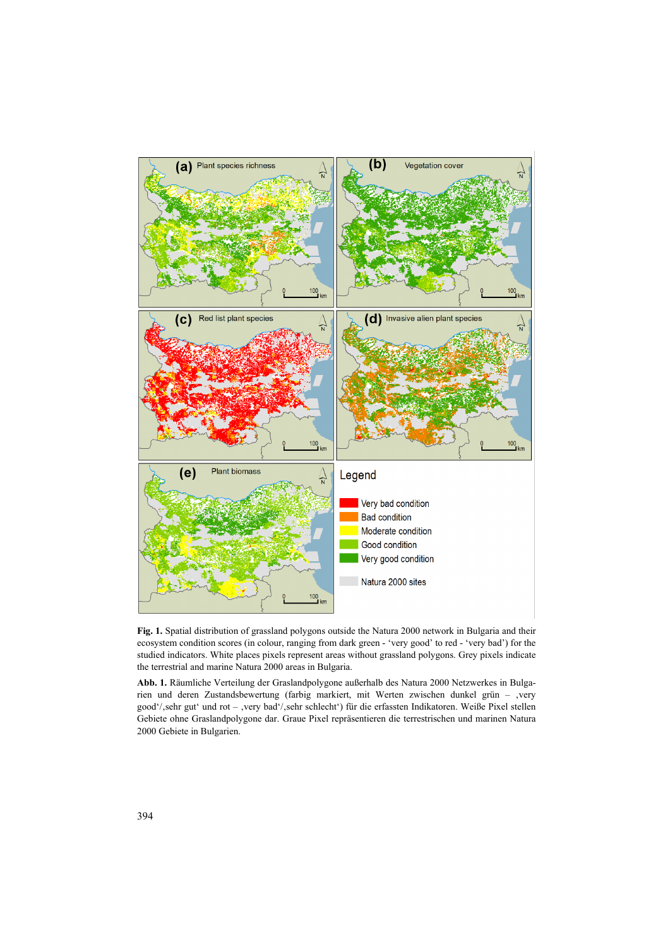

**Fig. 1.** Spatial distribution of grassland polygons outside the Natura 2000 network in Bulgaria and their ecosystem condition scores (in colour, ranging from dark green - 'very good' to red - 'very bad') for the studied indicators. White places pixels represent areas without grassland polygons. Grey pixels indicate the terrestrial and marine Natura 2000 areas in Bulgaria.

**Abb. 1.** Räumliche Verteilung der Graslandpolygone außerhalb des Natura 2000 Netzwerkes in Bulgarien und deren Zustandsbewertung (farbig markiert, mit Werten zwischen dunkel grün – ,very good'/,sehr gut' und rot - ,very bad'/,sehr schlecht') für die erfassten Indikatoren. Weiße Pixel stellen Gebiete ohne Graslandpolygone dar. Graue Pixel repräsentieren die terrestrischen und marinen Natura 2000 Gebiete in Bulgarien.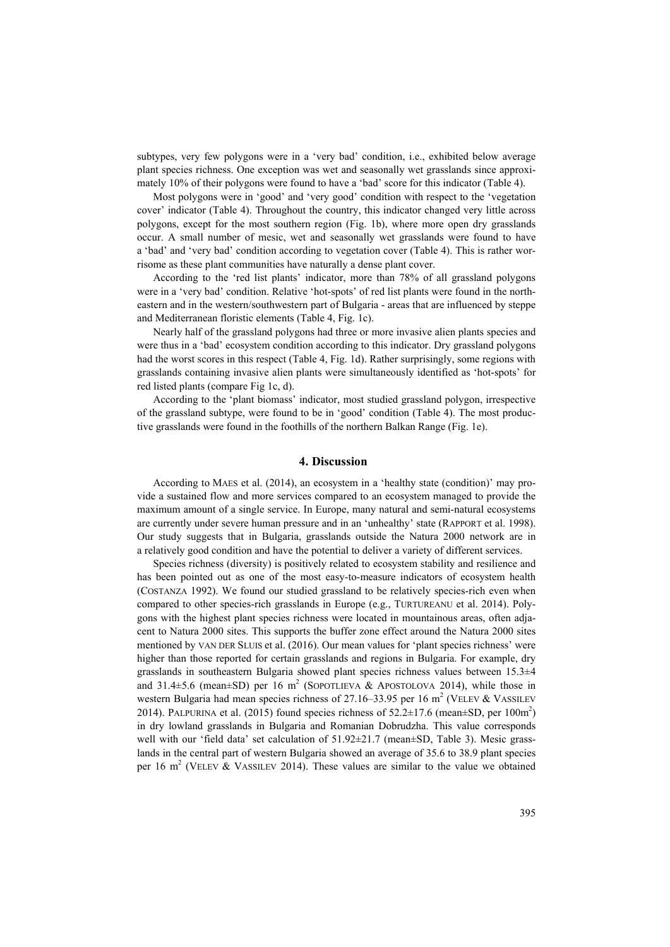subtypes, very few polygons were in a 'very bad' condition, i.e., exhibited below average plant species richness. One exception was wet and seasonally wet grasslands since approximately 10% of their polygons were found to have a 'bad' score for this indicator (Table 4).

Most polygons were in 'good' and 'very good' condition with respect to the 'vegetation cover' indicator (Table 4). Throughout the country, this indicator changed very little across polygons, except for the most southern region (Fig. 1b), where more open dry grasslands occur. A small number of mesic, wet and seasonally wet grasslands were found to have a 'bad' and 'very bad' condition according to vegetation cover (Table 4). This is rather worrisome as these plant communities have naturally a dense plant cover.

According to the 'red list plants' indicator, more than 78% of all grassland polygons were in a 'very bad' condition. Relative 'hot-spots' of red list plants were found in the northeastern and in the western/southwestern part of Bulgaria - areas that are influenced by steppe and Mediterranean floristic elements (Table 4, Fig. 1c).

Nearly half of the grassland polygons had three or more invasive alien plants species and were thus in a 'bad' ecosystem condition according to this indicator. Dry grassland polygons had the worst scores in this respect (Table 4, Fig. 1d). Rather surprisingly, some regions with grasslands containing invasive alien plants were simultaneously identified as 'hot-spots' for red listed plants (compare Fig 1c, d).

According to the 'plant biomass' indicator, most studied grassland polygon, irrespective of the grassland subtype, were found to be in 'good' condition (Table 4). The most productive grasslands were found in the foothills of the northern Balkan Range (Fig. 1e).

## **4. Discussion**

According to MAES et al. (2014), an ecosystem in a 'healthy state (condition)' may provide a sustained flow and more services compared to an ecosystem managed to provide the maximum amount of a single service. In Europe, many natural and semi-natural ecosystems are currently under severe human pressure and in an 'unhealthy' state (RAPPORT et al. 1998). Our study suggests that in Bulgaria, grasslands outside the Natura 2000 network are in a relatively good condition and have the potential to deliver a variety of different services.

Species richness (diversity) is positively related to ecosystem stability and resilience and has been pointed out as one of the most easy-to-measure indicators of ecosystem health (COSTANZA 1992). We found our studied grassland to be relatively species-rich even when compared to other species-rich grasslands in Europe (e.g., TURTUREANU et al. 2014). Polygons with the highest plant species richness were located in mountainous areas, often adjacent to Natura 2000 sites. This supports the buffer zone effect around the Natura 2000 sites mentioned by VAN DER SLUIS et al. (2016). Our mean values for 'plant species richness' were higher than those reported for certain grasslands and regions in Bulgaria. For example, dry grasslands in southeastern Bulgaria showed plant species richness values between  $15.3\pm 4$ and 31.4 $\pm$ 5.6 (mean $\pm$ SD) per 16 m<sup>2</sup> (SOPOTLIEVA & APOSTOLOVA 2014), while those in western Bulgaria had mean species richness of 27.16–33.95 per 16 m<sup>2</sup> (VELEV & VASSILEV 2014). PALPURINA et al. (2015) found species richness of  $52.2 \pm 17.6$  (mean $\pm$ SD, per 100m<sup>2</sup>) in dry lowland grasslands in Bulgaria and Romanian Dobrudzha. This value corresponds well with our 'field data' set calculation of 51.92±21.7 (mean±SD, Table 3). Mesic grasslands in the central part of western Bulgaria showed an average of 35.6 to 38.9 plant species per 16 m<sup>2</sup> (VELEV & VASSILEV 2014). These values are similar to the value we obtained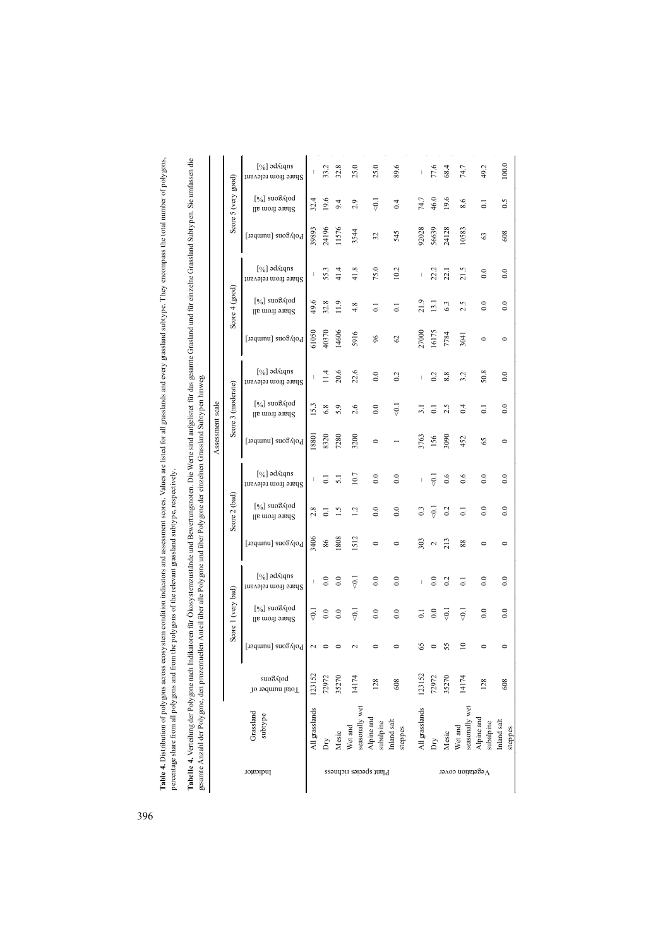Table 4. Distribution of polygons across ecosystem condition indicators and assessment scores. Values are listed for all grasslands and every grassland subtype. They encompass the total number of polygons, **Table 4.** Distribution of polygons across ecosystem condition indicators and assessment scores. Values are listed for all grasslands and every grassland subtype. They encompass the total number of polygons, percentage share from all polygons and from the polygons of the relevant grassland subtype, respectively. percentage share from all polygons and from the polygons of the relevant grassland subtype, respectively.

**Tabelle 4.** Verteilung der Poly gone nach Indikatoren für Ökosystemzustände und Bewertungsnoten. Die Werte sind aufgelistet für das gesamte Grasland und für einzelne Grassland Subtypen. Sie umfassen die<br>gesamte Anzahl der **Tabelle 4.** Verteilung der Polygone nach Indikatoren für Ökosystemzustände und Bewertungsnoten. Die Werte sind aufgelistet für das gesamte Grasland und für einzelne Grassland Subtypen. Sie umfassen die gesamte Anzahl der Polygone, den prozentuellen Anteil über alle Polygone und über Polygone der einzelnen Grassland Subtypen hinweg.

Assessment scale

Assessment scale

|                     | [%] əd⁄qqns<br>Share from relevant                 |                | 33.2             | 32.8          | 25.0                      | 25.0                    | 89.6                   | $\overline{\phantom{a}}$                                                                                                                                                                                                                                                                                                                                                         | 77.6                | 68.4           | 74.7                      | 49.2                    | 100.0                  |
|---------------------|----------------------------------------------------|----------------|------------------|---------------|---------------------------|-------------------------|------------------------|----------------------------------------------------------------------------------------------------------------------------------------------------------------------------------------------------------------------------------------------------------------------------------------------------------------------------------------------------------------------------------|---------------------|----------------|---------------------------|-------------------------|------------------------|
| Score 5 (very good) | $[\%]$ suo $\delta$ <i>A</i> [od<br>Share from all | 32.4           | 19.6             | 9.4           | 2.9                       | $\overline{\vec{v}}$    | 0.4                    | 74.7                                                                                                                                                                                                                                                                                                                                                                             | 46.0                | 19.6           | 8.6                       | $\overline{c}$          | 0.5                    |
|                     | Polygons [number]                                  | 39893          | 24196            | 11576         | 3544                      | 32                      | 545                    | 92028                                                                                                                                                                                                                                                                                                                                                                            | 56639               | 24128          | 10583                     | 63                      | 608                    |
|                     | [%] əd⁄qqns<br>Share from relevant                 |                | 55.3             | 41.4          | 41.8                      | 75.0                    | 10.2                   |                                                                                                                                                                                                                                                                                                                                                                                  | 22.2                | 22.1           | 21.5                      | 0.0                     | 0.0                    |
| Score 4 (good)      | $[\%]$ suo $\delta$ and $[\%]$<br>Share from all   | 49.6           | 32.8             | 11.9          | 4.8                       | $\overline{0}$          | $\overline{0}$         | 21.9                                                                                                                                                                                                                                                                                                                                                                             | $\frac{13.1}{2}$    | 6.3            | 2.5                       | $_{0.0}$                | $_{0.0}$               |
|                     | Polygons [number]                                  | 61050          | 40370            | 14606         | 5916                      | 96                      | $\mathcal{O}$          | 27000                                                                                                                                                                                                                                                                                                                                                                            | 16175               | 7784           | 3041                      | $\circ$                 | $\circ$                |
|                     | [%] ad Aqns<br>Share from relevant                 |                | $\frac{4}{14}$   | 20.6          | 22.6                      | 0.0                     | 0.2                    |                                                                                                                                                                                                                                                                                                                                                                                  | 0.2                 | 8.8            | 3.2                       | 50.8                    | 0.0                    |
| Score 3 (moderate)  | $[\%]$ suo $\delta$ <i>A</i> [od<br>Share from all | 15.3           | 6.8              | 5.9           | 2.6                       | 0.0                     | $\overline{\vec{v}}$   | $\Xi$                                                                                                                                                                                                                                                                                                                                                                            | 5                   | 2.5            | 0.4                       | ಪ                       | $_{0.0}$               |
|                     | Polygons [number]                                  | 18801          | 8320             | 7280          | 3200                      | $\circ$                 |                        | 3763                                                                                                                                                                                                                                                                                                                                                                             | 156                 | 3090           | 452                       | 65                      | $\circ$                |
|                     | [%] əd⁄qqns<br>Share from relevant                 | I              | ತ                | 5.1           | 10.7                      | 0.0                     | 0.0                    | $\begin{array}{c} \rule{0pt}{2.5ex} \rule{0pt}{2.5ex} \rule{0pt}{2.5ex} \rule{0pt}{2.5ex} \rule{0pt}{2.5ex} \rule{0pt}{2.5ex} \rule{0pt}{2.5ex} \rule{0pt}{2.5ex} \rule{0pt}{2.5ex} \rule{0pt}{2.5ex} \rule{0pt}{2.5ex} \rule{0pt}{2.5ex} \rule{0pt}{2.5ex} \rule{0pt}{2.5ex} \rule{0pt}{2.5ex} \rule{0pt}{2.5ex} \rule{0pt}{2.5ex} \rule{0pt}{2.5ex} \rule{0pt}{2.5ex} \rule{0$ | $\overline{5}$      | 0.6            | 0.6                       | 0.0                     | $\ddot{0}$ .           |
| Score 2 (bad)       | $[\%]$ suo $\delta$ <i>k</i> jod<br>Share from all | 2.8            | $\overline{0}$   | $\frac{5}{1}$ | 1.2                       | 0.0                     | $_{0.0}$               | 0.3                                                                                                                                                                                                                                                                                                                                                                              | $\overline{\Theta}$ | 0.2            | $\overline{c}$            | 0.0                     | 0.0                    |
|                     | Polygons [number]                                  | 3406           | $86\,$           | 1808          | 1512                      | 0                       |                        | 303                                                                                                                                                                                                                                                                                                                                                                              | $\sim$              | 213            | 88                        | 0                       | 0                      |
|                     | [%] əd⁄qqns<br>Share from relevant                 |                | $\rm ^{0.0}$     | 0.0           | $\overline{0}$            | 0.0                     | 0.0                    |                                                                                                                                                                                                                                                                                                                                                                                  | 0.0                 | 0.2            | $\overline{\circ}$        | 0.0                     | 0.0                    |
| Score 1 (very bad)  | $[\%]$ suo $\delta$ and $[\%]$<br>Share from all   | 5∋             | $\overline{0.0}$ | $_{0.0}$      | ଚି                        | 0.0                     | 0.0                    | 5                                                                                                                                                                                                                                                                                                                                                                                | $_{0.0}$            | $\overline{Q}$ | $\overline{\Theta}$       | 0.0                     | $_{0.0}$               |
|                     | $Polygon$ [number]<br>I                            | $\sim$         |                  |               |                           |                         |                        | 65                                                                                                                                                                                                                                                                                                                                                                               |                     | 55             | ≘                         |                         |                        |
|                     | suo8∧jod<br>Total number of                        | 123152         | 72972            | 35270         | 14174                     | 128                     | 608                    | 123152                                                                                                                                                                                                                                                                                                                                                                           | 72972               | 35270          | 14174                     | 128                     | 608                    |
|                     | Grassland<br>subtype                               | All grasslands | Dτy              | Mesic         | seasonally wet<br>Wet and | Alpine and<br>subalpine | Inland salt<br>steppes | All grasslands                                                                                                                                                                                                                                                                                                                                                                   | ÀQ                  | Mesic          | seasonally wet<br>Wet and | Alpine and<br>subalpine | Inland salt<br>steppes |
|                     | Indicator                                          |                |                  |               | Plant species richness    |                         |                        |                                                                                                                                                                                                                                                                                                                                                                                  |                     |                | $\Lambda$ egetation cover |                         |                        |

396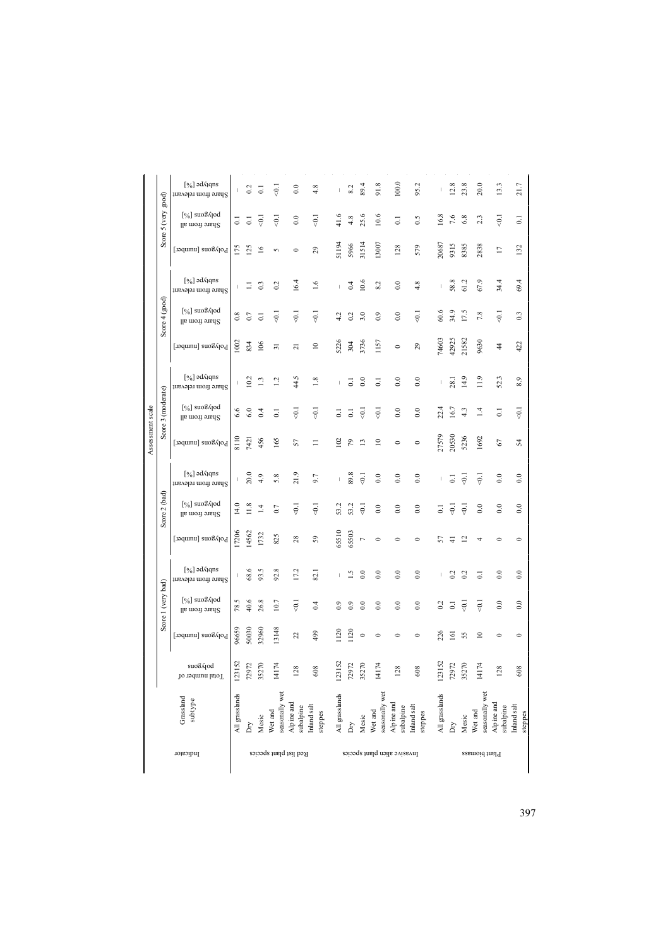|                    | торгорит                                                     |                |                       |                           | Red list plant species    |                         |                       |                |       |                     |                           | Invasive alien plant species |                       |                |                     |                         | Plant bromass             |                         |                       |
|--------------------|--------------------------------------------------------------|----------------|-----------------------|---------------------------|---------------------------|-------------------------|-----------------------|----------------|-------|---------------------|---------------------------|------------------------------|-----------------------|----------------|---------------------|-------------------------|---------------------------|-------------------------|-----------------------|
|                    | Grassland<br>subtype                                         | All grasslands | δŅ                    | Mesic                     | seasonally wet<br>Net and | Alpine and<br>subalpine | nland salt<br>steppes | All grasslands | Dηy   | Mesic               | seasonally wet<br>Net and | Alpine and<br>subalpine      | nland salt<br>steppes | All grasslands | Dηy                 | Mesic                   | seasonally wet<br>Net and | Alpine and<br>subalpine | nland salt<br>steppes |
|                    | polygons<br>Total number of                                  | 123152         | 72972                 | 35270                     | 14174                     | 128                     | 608                   | 123152         | 72972 | 35270               | 14174                     | 128                          | 608                   | 123152         | 72972               | 35270                   | 14174                     | 128                     | 608                   |
| Score 1 (very bad) | Polygons [number]                                            | 96659          | 50030                 | 32960                     | 13148                     | 22                      | 499                   | 1120           | 120   | $\circ$             |                           |                              | $\mathbf{C}$          | 226            | હ                   | 55                      | $\Xi$                     |                         |                       |
|                    | $[\%]$ suo $\frac{1}{2}$ suo $\frac{1}{2}$<br>Share from all | 78.5           | 40.6                  | 26.8                      | 10.7                      | ₹                       | 0.4                   | ္မ             |       | $\rm{S}$            | $_{0.0}$                  | $_{0.0}$                     | $_{0.0}$              | 0.2            | ತ                   | $\overline{\Theta}$     | $\overline{\Theta}$       | $_{0.0}$                | $_{0.0}$              |
|                    | [%] əd<br>Aqns<br>Share from relevant                        |                | 68.6                  | 93.5                      | 92.8                      | 17.2                    | 82.1                  |                | ≌     | $\tilde{c}$         | $_{0.0}$                  | $_{0.0}$                     | $_{0.0}$              |                | 3                   | $\approx$               | 3                         | $_{0.0}$                | $_{0.0}$              |
|                    | Polygons [number]                                            | 7206           | 4562                  | 1732                      | 825                       | 28                      | 59                    | 65510          | 65503 | $\overline{ }$      | 0                         | 0                            | 0                     | 57             |                     | $\overline{\mathbf{C}}$ |                           | 0                       |                       |
| Score 2 (bad       | $[\%]$ suo $\delta$ <i>k</i> [od<br>Share from all           | 14.0           | 1.8                   | 그                         | 0.7                       | Ş                       | ē                     | 53.2           | 53.2  | Ş                   | $_{0.0}$                  | $_{0.0}$                     | $_{0.0}$              | ತ              | $\overline{\Theta}$ | $\overline{\partial}$   | $_{0.0}$                  | $_{0.0}$                | $_{0.0}$              |
|                    | [%] əd⁄qqns<br>Share from relevant                           |                | 20.0                  | 4.9                       | 5.8                       | 21.9                    | 9.7                   |                | 89.8  | $\overline{5}$      | $_{0.0}$                  | $\rm ^{\circ}$               | $_{0.0}$              |                | ತ                   | $\overline{5}$          | $\overline{6}$            | $_{0.0}$                | $_{0.0}$              |
| Assessment scale   | Polygons [number]                                            | 8110           | 7421                  | 456                       | 165                       | 57                      |                       | $\Xi$          | 5     | $\mathbf{r}$        | $\mathbf{r}$              | $\circ$                      | $\circ$               | 27579          | 20530               | 5236                    | 1692                      | 2                       | 24                    |
| Score 3 (moderate) | $[\%]$ suo $\delta$ <i>A</i> [od<br>Share from all           | 6.6            | 3                     | $\vec{c}$                 | ತ                         | $\ddot{\vec{v}}$        | ç                     | $\overline{5}$ | ö     | $\overline{\Theta}$ | $\overline{\vec{v}}$      | $_{0.0}$                     | $_{0.0}$              | 22.4           | 16.7                | 4.3                     | 14                        | ತ                       | $\overline{6}$        |
|                    | [%] əd⁄qqns<br>Share from relevant                           |                | 10.2                  | $\frac{1}{2}$             | $\overline{c}$            | 4.5                     | 1.8                   |                | d     | $_{0.0}$            | $\overline{a}$            | $\ddot{0}$ .                 | 0.0                   |                | 28.                 | 14.9                    | 11.9                      | 52.3                    | 8.9                   |
|                    | Polygons [number]                                            | 1002           | 834                   | 106                       | $\overline{31}$           | ಸ                       | $\mathbf{r}$          | 5226           | 304   | 3736                | 1157                      | $\circ$                      | 29                    | 74603          | 42925               | 21582                   | 9630                      | 4                       | 422                   |
| Score $4$ (good)   | $[\%]$ suo $\delta$ <i>A</i> [od<br>Share from all           | 0.8            | 0.7                   | ੋ                         | Ş                         | $\overline{5}$          | $\overline{5}$        |                |       | 3.0                 | $_{0.9}$                  | $_{0.0}$                     | $\overline{5}$        | 60.6           | 34.9                | 17.5                    | 7.8                       | $\overline{6}$          | 0.3                   |
|                    | $[\%]$ əd aqns<br>Share from relevant                        |                | Ξ                     | 0.3                       | 0.2                       | 16.4                    | 1.6                   |                | 0.4   | 10.6                | 8.2                       | $_{0.0}$                     | 4.8                   |                | 58.8                | 61.2                    | 67.9                      | 34.4                    | 69.4                  |
|                    | Polygons [number]                                            | 511            | $\tilde{\mathcal{E}}$ | $\frac{6}{2}$             | S                         |                         | 29                    | 51194          | 5966  | 31514               | 13007                     | 128                          | 579                   | 20687          | 9315                | 8385                    | 2838                      | $\overline{17}$         | 132                   |
| Score 5 (very      | $[\%]$ suo $\delta$ <i>A</i> [od<br>Share from all           | 3              | $\overline{\circ}$    | $\overline{\overline{S}}$ | $\overline{5}$            | $_{0.0}$                | $\overline{5}$        | 41.6           | 4.8   | 25.6                | 10.6                      | $\overline{\circ}$           | 0.5                   | 16.8           | 7.6                 | 6.8                     | 2.3                       | $\overline{0}$ .        | 5                     |
| good)              | [%] əd<br>Aqns<br>Share from relevant                        | L              | 0.2                   | ತ                         | Ģ                         | $_{0.0}$                | 4.8                   |                | 8.2   | 89.4                | 91.8                      | 100.0                        | 95.2                  |                | 12.8                | 23.8                    | 20.0                      | 13.3                    | 21.7                  |
|                    |                                                              |                |                       |                           |                           |                         |                       |                |       |                     |                           |                              |                       |                |                     |                         |                           |                         |                       |

397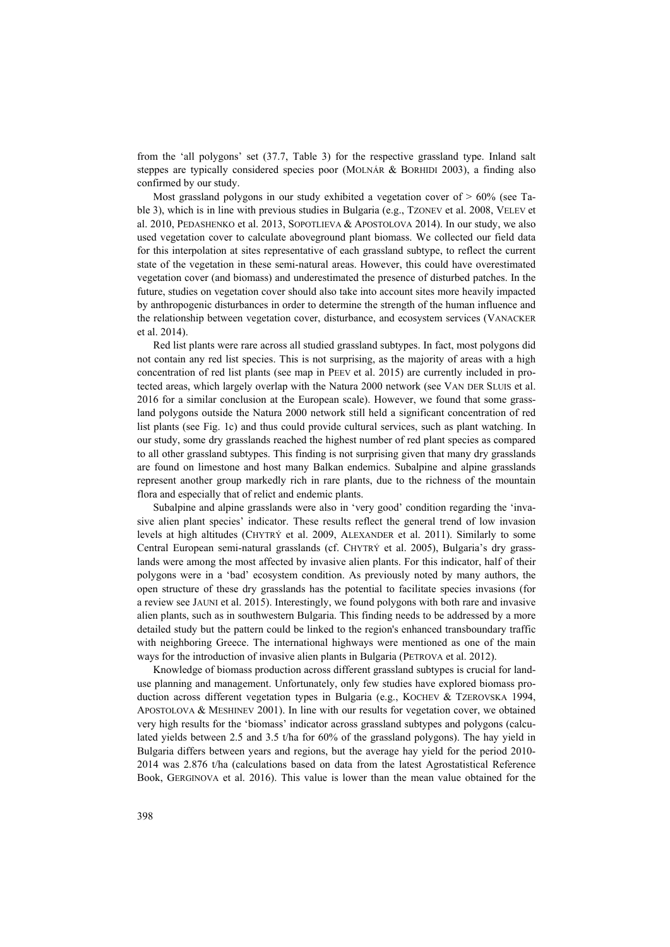from the 'all polygons' set (37.7, Table 3) for the respective grassland type. Inland salt steppes are typically considered species poor (MOLNÁR & BORHIDI 2003), a finding also confirmed by our study.

Most grassland polygons in our study exhibited a vegetation cover of > 60% (see Table 3), which is in line with previous studies in Bulgaria (e.g., TZONEV et al. 2008, VELEV et al. 2010, PEDASHENKO et al. 2013, SOPOTLIEVA & APOSTOLOVA 2014). In our study, we also used vegetation cover to calculate aboveground plant biomass. We collected our field data for this interpolation at sites representative of each grassland subtype, to reflect the current state of the vegetation in these semi-natural areas. However, this could have overestimated vegetation cover (and biomass) and underestimated the presence of disturbed patches. In the future, studies on vegetation cover should also take into account sites more heavily impacted by anthropogenic disturbances in order to determine the strength of the human influence and the relationship between vegetation cover, disturbance, and ecosystem services (VANACKER et al. 2014).

Red list plants were rare across all studied grassland subtypes. In fact, most polygons did not contain any red list species. This is not surprising, as the majority of areas with a high concentration of red list plants (see map in PEEV et al. 2015) are currently included in protected areas, which largely overlap with the Natura 2000 network (see VAN DER SLUIS et al. 2016 for a similar conclusion at the European scale). However, we found that some grassland polygons outside the Natura 2000 network still held a significant concentration of red list plants (see Fig. 1c) and thus could provide cultural services, such as plant watching. In our study, some dry grasslands reached the highest number of red plant species as compared to all other grassland subtypes. This finding is not surprising given that many dry grasslands are found on limestone and host many Balkan endemics. Subalpine and alpine grasslands represent another group markedly rich in rare plants, due to the richness of the mountain flora and especially that of relict and endemic plants.

Subalpine and alpine grasslands were also in 'very good' condition regarding the 'invasive alien plant species' indicator. These results reflect the general trend of low invasion levels at high altitudes (CHYTRÝ et al. 2009, ALEXANDER et al. 2011). Similarly to some Central European semi-natural grasslands (cf. CHYTRÝ et al. 2005), Bulgaria's dry grasslands were among the most affected by invasive alien plants. For this indicator, half of their polygons were in a 'bad' ecosystem condition. As previously noted by many authors, the open structure of these dry grasslands has the potential to facilitate species invasions (for a review see JAUNI et al. 2015). Interestingly, we found polygons with both rare and invasive alien plants, such as in southwestern Bulgaria. This finding needs to be addressed by a more detailed study but the pattern could be linked to the region's enhanced transboundary traffic with neighboring Greece. The international highways were mentioned as one of the main ways for the introduction of invasive alien plants in Bulgaria (PETROVA et al. 2012).

Knowledge of biomass production across different grassland subtypes is crucial for landuse planning and management. Unfortunately, only few studies have explored biomass production across different vegetation types in Bulgaria (e.g., KOCHEV & TZEROVSKA 1994, APOSTOLOVA & MESHINEV 2001). In line with our results for vegetation cover, we obtained very high results for the 'biomass' indicator across grassland subtypes and polygons (calculated yields between 2.5 and 3.5 t/ha for 60% of the grassland polygons). The hay yield in Bulgaria differs between years and regions, but the average hay yield for the period 2010- 2014 was 2.876 t/ha (calculations based on data from the latest Agrostatistical Reference Book, GERGINOVA et al. 2016). This value is lower than the mean value obtained for the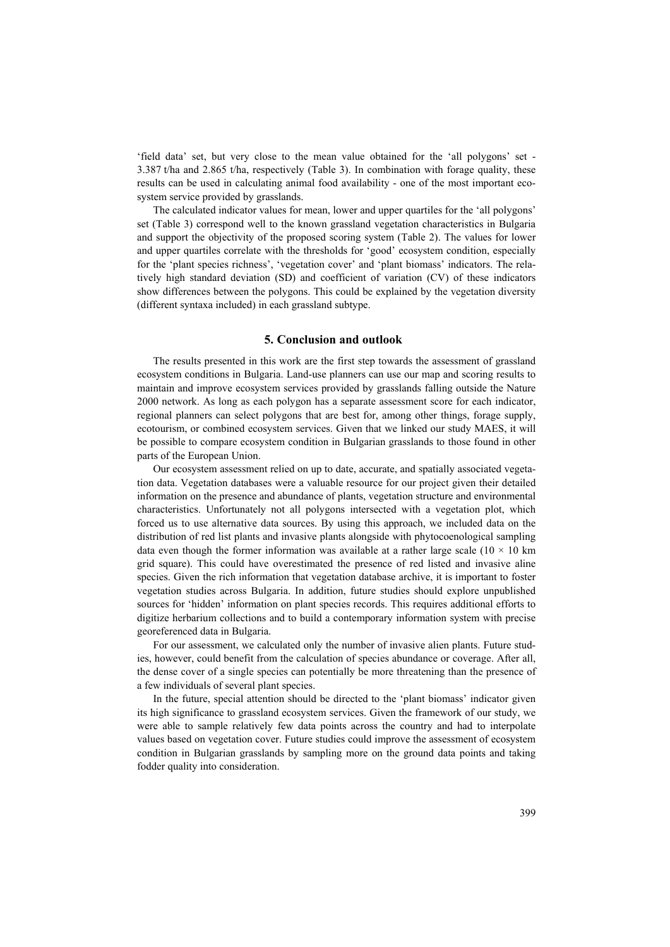'field data' set, but very close to the mean value obtained for the 'all polygons' set - 3.387 t/ha and 2.865 t/ha, respectively (Table 3). In combination with forage quality, these results can be used in calculating animal food availability - one of the most important ecosystem service provided by grasslands.

The calculated indicator values for mean, lower and upper quartiles for the 'all polygons' set (Table 3) correspond well to the known grassland vegetation characteristics in Bulgaria and support the objectivity of the proposed scoring system (Table 2). The values for lower and upper quartiles correlate with the thresholds for 'good' ecosystem condition, especially for the 'plant species richness', 'vegetation cover' and 'plant biomass' indicators. The relatively high standard deviation (SD) and coefficient of variation (CV) of these indicators show differences between the polygons. This could be explained by the vegetation diversity (different syntaxa included) in each grassland subtype.

## **5. Conclusion and outlook**

The results presented in this work are the first step towards the assessment of grassland ecosystem conditions in Bulgaria. Land-use planners can use our map and scoring results to maintain and improve ecosystem services provided by grasslands falling outside the Nature 2000 network. As long as each polygon has a separate assessment score for each indicator, regional planners can select polygons that are best for, among other things, forage supply, ecotourism, or combined ecosystem services. Given that we linked our study MAES, it will be possible to compare ecosystem condition in Bulgarian grasslands to those found in other parts of the European Union.

Our ecosystem assessment relied on up to date, accurate, and spatially associated vegetation data. Vegetation databases were a valuable resource for our project given their detailed information on the presence and abundance of plants, vegetation structure and environmental characteristics. Unfortunately not all polygons intersected with a vegetation plot, which forced us to use alternative data sources. By using this approach, we included data on the distribution of red list plants and invasive plants alongside with phytocoenological sampling data even though the former information was available at a rather large scale ( $10 \times 10$  km grid square). This could have overestimated the presence of red listed and invasive aline species. Given the rich information that vegetation database archive, it is important to foster vegetation studies across Bulgaria. In addition, future studies should explore unpublished sources for 'hidden' information on plant species records. This requires additional efforts to digitize herbarium collections and to build a contemporary information system with precise georeferenced data in Bulgaria.

For our assessment, we calculated only the number of invasive alien plants. Future studies, however, could benefit from the calculation of species abundance or coverage. After all, the dense cover of a single species can potentially be more threatening than the presence of a few individuals of several plant species.

In the future, special attention should be directed to the 'plant biomass' indicator given its high significance to grassland ecosystem services. Given the framework of our study, we were able to sample relatively few data points across the country and had to interpolate values based on vegetation cover. Future studies could improve the assessment of ecosystem condition in Bulgarian grasslands by sampling more on the ground data points and taking fodder quality into consideration.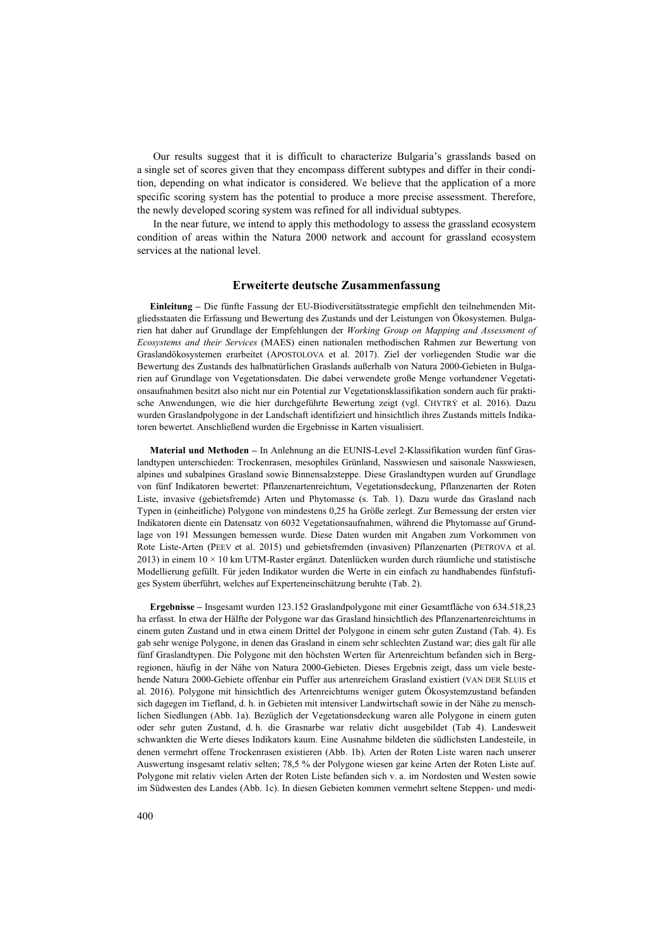Our results suggest that it is difficult to characterize Bulgaria's grasslands based on a single set of scores given that they encompass different subtypes and differ in their condition, depending on what indicator is considered. We believe that the application of a more specific scoring system has the potential to produce a more precise assessment. Therefore, the newly developed scoring system was refined for all individual subtypes.

In the near future, we intend to apply this methodology to assess the grassland ecosystem condition of areas within the Natura 2000 network and account for grassland ecosystem services at the national level.

#### **Erweiterte deutsche Zusammenfassung**

**Einleitung –** Die fünfte Fassung der EU-Biodiversitätsstrategie empfiehlt den teilnehmenden Mitgliedsstaaten die Erfassung und Bewertung des Zustands und der Leistungen von Ökosystemen. Bulgarien hat daher auf Grundlage der Empfehlungen der *Working Group on Mapping and Assessment of Ecosystems and their Services* (MAES) einen nationalen methodischen Rahmen zur Bewertung von Graslandökosystemen erarbeitet (APOSTOLOVA et al. 2017). Ziel der vorliegenden Studie war die Bewertung des Zustands des halbnatürlichen Graslands außerhalb von Natura 2000-Gebieten in Bulgarien auf Grundlage von Vegetationsdaten. Die dabei verwendete große Menge vorhandener Vegetationsaufnahmen besitzt also nicht nur ein Potential zur Vegetationsklassifikation sondern auch für praktische Anwendungen, wie die hier durchgeführte Bewertung zeigt (vgl. CHYTRÝ et al. 2016). Dazu wurden Graslandpolygone in der Landschaft identifiziert und hinsichtlich ihres Zustands mittels Indikatoren bewertet. Anschließend wurden die Ergebnisse in Karten visualisiert.

**Material und Methoden –** In Anlehnung an die EUNIS-Level 2-Klassifikation wurden fünf Graslandtypen unterschieden: Trockenrasen, mesophiles Grünland, Nasswiesen und saisonale Nasswiesen, alpines und subalpines Grasland sowie Binnensalzsteppe. Diese Graslandtypen wurden auf Grundlage von fünf Indikatoren bewertet: Pflanzenartenreichtum, Vegetationsdeckung, Pflanzenarten der Roten Liste, invasive (gebietsfremde) Arten und Phytomasse (s. Tab. 1). Dazu wurde das Grasland nach Typen in (einheitliche) Polygone von mindestens 0,25 ha Größe zerlegt. Zur Bemessung der ersten vier Indikatoren diente ein Datensatz von 6032 Vegetationsaufnahmen, während die Phytomasse auf Grundlage von 191 Messungen bemessen wurde. Diese Daten wurden mit Angaben zum Vorkommen von Rote Liste-Arten (PEEV et al. 2015) und gebietsfremden (invasiven) Pflanzenarten (PETROVA et al. 2013) in einem 10 × 10 km UTM-Raster ergänzt. Datenlücken wurden durch räumliche und statistische Modellierung gefüllt. Für jeden Indikator wurden die Werte in ein einfach zu handhabendes fünfstufiges System überführt, welches auf Experteneinschätzung beruhte (Tab. 2).

**Ergebnisse –** Insgesamt wurden 123.152 Graslandpolygone mit einer Gesamtfläche von 634.518,23 ha erfasst. In etwa der Hälfte der Polygone war das Grasland hinsichtlich des Pflanzenartenreichtums in einem guten Zustand und in etwa einem Drittel der Polygone in einem sehr guten Zustand (Tab. 4). Es gab sehr wenige Polygone, in denen das Grasland in einem sehr schlechten Zustand war; dies galt für alle fünf Graslandtypen. Die Polygone mit den höchsten Werten für Artenreichtum befanden sich in Bergregionen, häufig in der Nähe von Natura 2000-Gebieten. Dieses Ergebnis zeigt, dass um viele bestehende Natura 2000-Gebiete offenbar ein Puffer aus artenreichem Grasland existiert (VAN DER SLUIS et al. 2016). Polygone mit hinsichtlich des Artenreichtums weniger gutem Ökosystemzustand befanden sich dagegen im Tiefland, d. h. in Gebieten mit intensiver Landwirtschaft sowie in der Nähe zu menschlichen Siedlungen (Abb. 1a). Bezüglich der Vegetationsdeckung waren alle Polygone in einem guten oder sehr guten Zustand, d. h. die Grasnarbe war relativ dicht ausgebildet (Tab 4). Landesweit schwankten die Werte dieses Indikators kaum. Eine Ausnahme bildeten die südlichsten Landesteile, in denen vermehrt offene Trockenrasen existieren (Abb. 1b). Arten der Roten Liste waren nach unserer Auswertung insgesamt relativ selten; 78,5 % der Polygone wiesen gar keine Arten der Roten Liste auf. Polygone mit relativ vielen Arten der Roten Liste befanden sich v. a. im Nordosten und Westen sowie im Südwesten des Landes (Abb. 1c). In diesen Gebieten kommen vermehrt seltene Steppen- und medi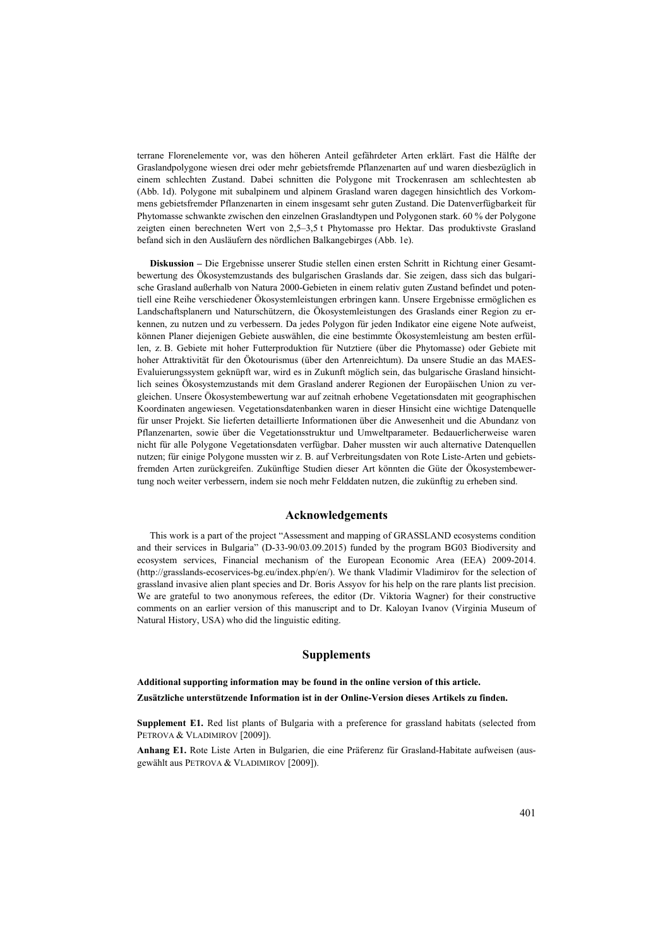terrane Florenelemente vor, was den höheren Anteil gefährdeter Arten erklärt. Fast die Hälfte der Graslandpolygone wiesen drei oder mehr gebietsfremde Pflanzenarten auf und waren diesbezüglich in einem schlechten Zustand. Dabei schnitten die Polygone mit Trockenrasen am schlechtesten ab (Abb. 1d). Polygone mit subalpinem und alpinem Grasland waren dagegen hinsichtlich des Vorkommens gebietsfremder Pflanzenarten in einem insgesamt sehr guten Zustand. Die Datenverfügbarkeit für Phytomasse schwankte zwischen den einzelnen Graslandtypen und Polygonen stark. 60 % der Polygone zeigten einen berechneten Wert von 2,5–3,5 t Phytomasse pro Hektar. Das produktivste Grasland befand sich in den Ausläufern des nördlichen Balkangebirges (Abb. 1e).

**Diskussion –** Die Ergebnisse unserer Studie stellen einen ersten Schritt in Richtung einer Gesamtbewertung des Ökosystemzustands des bulgarischen Graslands dar. Sie zeigen, dass sich das bulgarische Grasland außerhalb von Natura 2000-Gebieten in einem relativ guten Zustand befindet und potentiell eine Reihe verschiedener Ökosystemleistungen erbringen kann. Unsere Ergebnisse ermöglichen es Landschaftsplanern und Naturschützern, die Ökosystemleistungen des Graslands einer Region zu erkennen, zu nutzen und zu verbessern. Da jedes Polygon für jeden Indikator eine eigene Note aufweist, können Planer diejenigen Gebiete auswählen, die eine bestimmte Ökosystemleistung am besten erfüllen, z. B. Gebiete mit hoher Futterproduktion für Nutztiere (über die Phytomasse) oder Gebiete mit hoher Attraktivität für den Ökotourismus (über den Artenreichtum). Da unsere Studie an das MAES-Evaluierungssystem geknüpft war, wird es in Zukunft möglich sein, das bulgarische Grasland hinsichtlich seines Ökosystemzustands mit dem Grasland anderer Regionen der Europäischen Union zu vergleichen. Unsere Ökosystembewertung war auf zeitnah erhobene Vegetationsdaten mit geographischen Koordinaten angewiesen. Vegetationsdatenbanken waren in dieser Hinsicht eine wichtige Datenquelle für unser Projekt. Sie lieferten detaillierte Informationen über die Anwesenheit und die Abundanz von Pflanzenarten, sowie über die Vegetationsstruktur und Umweltparameter. Bedauerlicherweise waren nicht für alle Polygone Vegetationsdaten verfügbar. Daher mussten wir auch alternative Datenquellen nutzen; für einige Polygone mussten wir z. B. auf Verbreitungsdaten von Rote Liste-Arten und gebietsfremden Arten zurückgreifen. Zukünftige Studien dieser Art könnten die Güte der Ökosystembewertung noch weiter verbessern, indem sie noch mehr Felddaten nutzen, die zukünftig zu erheben sind.

#### **Acknowledgements**

This work is a part of the project "Assessment and mapping of GRASSLAND ecosystems condition and their services in Bulgaria" (D-33-90/03.09.2015) funded by the program BG03 Biodiversity and ecosystem services, Financial mechanism of the European Economic Area (EEA) 2009-2014. (http://grasslands-ecoservices-bg.eu/index.php/en/). We thank Vladimir Vladimirov for the selection of grassland invasive alien plant species and Dr. Boris Assyov for his help on the rare plants list precision. We are grateful to two anonymous referees, the editor (Dr. Viktoria Wagner) for their constructive comments on an earlier version of this manuscript and to Dr. Kaloyan Ivanov (Virginia Museum of Natural History, USA) who did the linguistic editing.

#### **Supplements**

## **Additional supporting information may be found in the online version of this article. Zusätzliche unterstützende Information ist in der Online-Version dieses Artikels zu finden.**

**Supplement E1.** Red list plants of Bulgaria with a preference for grassland habitats (selected from PETROVA & VLADIMIROV [2009]).

**Anhang E1.** Rote Liste Arten in Bulgarien, die eine Präferenz für Grasland-Habitate aufweisen (ausgewählt aus PETROVA & VLADIMIROV [2009]).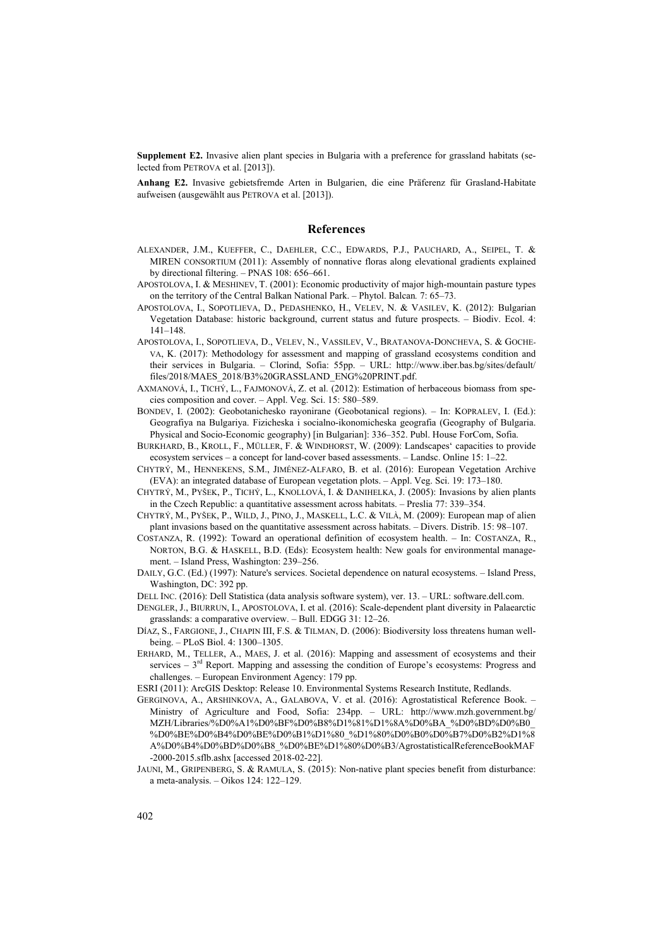**Supplement E2.** Invasive alien plant species in Bulgaria with a preference for grassland habitats (selected from PETROVA et al. [2013]).

**Anhang E2.** Invasive gebietsfremde Arten in Bulgarien, die eine Präferenz für Grasland-Habitate aufweisen (ausgewählt aus PETROVA et al. [2013]).

#### **References**

- ALEXANDER, J.M., KUEFFER, C., DAEHLER, C.C., EDWARDS, P.J., PAUCHARD, A., SEIPEL, T. & MIREN CONSORTIUM (2011): Assembly of nonnative floras along elevational gradients explained by directional filtering. – PNAS 108: 656–661.
- APOSTOLOVA, I. & MESHINEV, T. (2001): Economic productivity of major high-mountain pasture types on the territory of the Central Balkan National Park. – Phytol. Balcan*.* 7: 65–73.
- APOSTOLOVA, I., SOPOTLIEVA, D., PEDASHENKO, H., VELEV, N. & VASILEV, K. (2012): Bulgarian Vegetation Database: historic background, current status and future prospects. – Biodiv. Ecol. 4: 141–148.
- APOSTOLOVA, I., SOPOTLIEVA, D., VELEV, N., VASSILEV, V., BRATANOVA-DONCHEVA, S. & GOCHE-VA, K. (2017): Methodology for assessment and mapping of grassland ecosystems condition and their services in Bulgaria. – Clorind, Sofia: 55pp. – URL: http://www.iber.bas.bg/sites/default/ files/2018/MAES\_2018/B3%20GRASSLAND\_ENG%20PRINT.pdf.
- AXMANOVÁ, I., TICHÝ, L., FAJMONOVÁ, Z. et al. (2012): Estimation of herbaceous biomass from species composition and cover. – Appl. Veg. Sci. 15: 580–589.
- BONDEV, I. (2002): Geobotanichesko rayonirane (Geobotanical regions). In: KOPRALEV, I. (Ed.): Geografiya na Bulgariya. Fizicheska i socialno-ikonomicheska geografia (Geography of Bulgaria. Physical and Socio-Economic geography) [in Bulgarian]: 336–352. Publ. House ForCom, Sofia.
- BURKHARD, B., KROLL, F., MÜLLER, F. & WINDHORST, W. (2009): Landscapes' capacities to provide ecosystem services – a concept for land-cover based assessments. – Landsc. Online 15: 1–22.
- CHYTRÝ, M., HENNEKENS, S.M., JIMÉNEZ-ALFARO, B. et al. (2016): European Vegetation Archive (EVA): an integrated database of European vegetation plots. – Appl. Veg. Sci. 19: 173–180.
- CHYTRÝ, M., PYŠEK, P., TICHÝ, L., KNOLLOVÁ, I. & DANIHELKA, J. (2005): Invasions by alien plants in the Czech Republic: a quantitative assessment across habitats. – Preslia 77: 339–354.
- CHYTRÝ, M., PYŠEK, P., WILD, J., PINO, J., MASKELL, L.C. & VILÀ, M. (2009): European map of alien plant invasions based on the quantitative assessment across habitats. – Divers. Distrib. 15: 98–107.
- COSTANZA, R. (1992): Toward an operational definition of ecosystem health. In: COSTANZA, R., NORTON, B.G. & HASKELL, B.D. (Eds): Ecosystem health: New goals for environmental management. – Island Press, Washington: 239–256.
- DAILY, G.C. (Ed.) (1997): Nature's services. Societal dependence on natural ecosystems. Island Press, Washington, DC: 392 pp.
- DELL INC. (2016): Dell Statistica (data analysis software system), ver. 13. URL: software.dell.com.
- DENGLER, J., BIURRUN, I., APOSTOLOVA, I. et al. (2016): Scale-dependent plant diversity in Palaearctic grasslands: a comparative overview. – Bull. EDGG 31: 12–26.
- DÍAZ, S., FARGIONE, J., CHAPIN III, F.S. & TILMAN, D. (2006): Biodiversity loss threatens human wellbeing. – PLoS Biol. 4: 1300–1305.
- ERHARD, M., TELLER, A., MAES, J. et al. (2016): Mapping and assessment of ecosystems and their services  $-3<sup>rd</sup>$  Report. Mapping and assessing the condition of Europe's ecosystems: Progress and challenges. – European Environment Agency: 179 pp.
- ESRI (2011): ArcGIS Desktop: Release 10. Environmental Systems Research Institute, Redlands.
- GERGINOVA, A., ARSHINKOVA, A., GALABOVA, V. et al. (2016): Agrostatistical Reference Book. Ministry of Agriculture and Food, Sofia: 234pp. – URL: http://www.mzh.government.bg/ MZH/Libraries/%D0%A1%D0%BF%D0%B8%D1%81%D1%8A%D0%BA\_%D0%BD%D0%B0\_ %D0%BE%D0%B4%D0%BE%D0%B1%D1%80\_%D1%80%D0%B0%D0%B7%D0%B2%D1%8 A%D0%B4%D0%BD%D0%B8\_%D0%BE%D1%80%D0%B3/AgrostatisticalReferenceBookMAF -2000-2015.sflb.ashx [accessed 2018-02-22].
- JAUNI, M., GRIPENBERG, S. & RAMULA, S. (2015): Non-native plant species benefit from disturbance: a meta‐analysis. – Oikos 124: 122–129.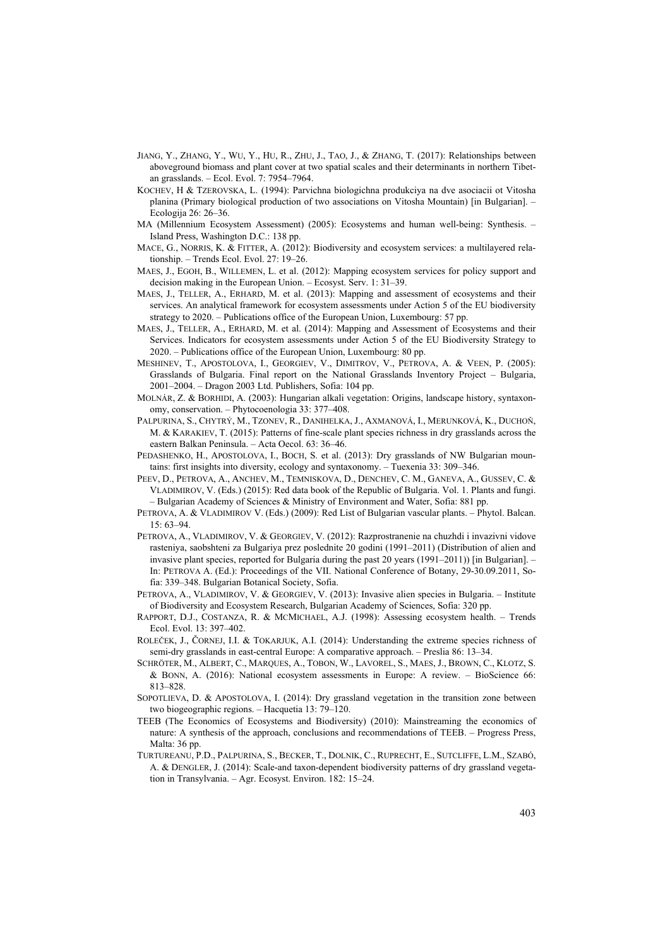- JIANG, Y., ZHANG, Y., WU, Y., HU, R., ZHU, J., TAO, J., & ZHANG, T. (2017): Relationships between aboveground biomass and plant cover at two spatial scales and their determinants in northern Tibetan grasslands. – Ecol. Evol. 7: 7954–7964.
- KOCHEV, H & TZEROVSKA, L. (1994): Parvichna biologichna produkciya na dve asociacii ot Vitosha planina (Primary biological production of two associations on Vitosha Mountain) [in Bulgarian]. – Ecologija 26: 26–36.
- MA (Millennium Ecosystem Assessment) (2005): Ecosystems and human well-being: Synthesis. Island Press, Washington D.C.: 138 pp.
- MACE, G., NORRIS, K. & FITTER, A. (2012): Biodiversity and ecosystem services: a multilayered relationship. – Trends Ecol. Evol. 27: 19–26.
- MAES, J., EGOH, B., WILLEMEN, L. et al. (2012): Mapping ecosystem services for policy support and decision making in the European Union. – Ecosyst. Serv. 1: 31–39.
- MAES, J., TELLER, A., ERHARD, M. et al. (2013): Mapping and assessment of ecosystems and their services. An analytical framework for ecosystem assessments under Action 5 of the EU biodiversity strategy to 2020. – Publications office of the European Union, Luxembourg: 57 pp.
- MAES, J., TELLER, A., ERHARD, M. et al. (2014): Mapping and Assessment of Ecosystems and their Services. Indicators for ecosystem assessments under Action 5 of the EU Biodiversity Strategy to 2020. – Publications office of the European Union, Luxembourg: 80 pp.
- MESHINEV, T., APOSTOLOVA, I., GEORGIEV, V., DIMITROV, V., PETROVA, A. & VEEN, P. (2005): Grasslands of Bulgaria. Final report on the National Grasslands Inventory Project – Bulgaria, 2001–2004. – Dragon 2003 Ltd. Publishers, Sofia: 104 pp.
- MOLNÁR, Z. & BORHIDI, A. (2003): Hungarian alkali vegetation: Origins, landscape history, syntaxonomy, conservation. – Phytocoenologia 33: 377–408.
- PALPURINA, S., CHYTRÝ, M., TZONEV, R., DANIHELKA, J., AXMANOVÁ, I., MERUNKOVÁ, K., DUCHOŇ, M. & KARAKIEV, T. (2015): Patterns of fine-scale plant species richness in dry grasslands across the eastern Balkan Peninsula. – Acta Oecol. 63: 36–46.
- PEDASHENKO, H., APOSTOLOVA, I., BOCH, S. et al. (2013): Dry grasslands of NW Bulgarian mountains: first insights into diversity, ecology and syntaxonomy. – Tuexenia 33: 309–346.
- PEEV, D., PETROVA, A., ANCHEV, M., TEMNISKOVA, D., DENCHEV, C. M., GANEVA, A., GUSSEV, C. & VLADIMIROV, V. (Eds.) (2015): Red data book of the Republic of Bulgaria. Vol. 1. Plants and fungi. – Bulgarian Academy of Sciences & Ministry of Environment and Water, Sofia: 881 pp.
- PETROVA, A. & VLADIMIROV V. (Eds.) (2009): Red List of Bulgarian vascular plants. Phytol. Balcan. 15: 63–94.
- PETROVA, A., VLADIMIROV, V. & GEORGIEV, V. (2012): Razprostranenie na chuzhdi i invazivni vidove rasteniya, saobshteni za Bulgariya prez poslednite 20 godini (1991–2011) (Distribution of alien and invasive plant species, reported for Bulgaria during the past 20 years (1991–2011)) [in Bulgarian]. – In: PETROVA A. (Ed.): Proceedings of the VII. National Conference of Botany, 29-30.09.2011, Sofia: 339–348. Bulgarian Botanical Society, Sofia.
- PETROVA, A., VLADIMIROV, V. & GEORGIEV, V. (2013): Invasive alien species in Bulgaria. Institute of Biodiversity and Ecosystem Research, Bulgarian Academy of Sciences, Sofia: 320 pp.
- RAPPORT, D.J., COSTANZA, R. & MCMICHAEL, A.J. (1998): Assessing ecosystem health. Trends Ecol. Evol. 13: 397–402.
- ROLEČEK, J., ČORNEJ, I.I. & TOKARJUK, A.I. (2014): Understanding the extreme species richness of semi-dry grasslands in east-central Europe: A comparative approach. – Preslia 86: 13–34.
- SCHRÖTER, M., ALBERT, C., MARQUES, A., TOBON, W., LAVOREL, S., MAES, J., BROWN, C., KLOTZ, S. & BONN, A. (2016): National ecosystem assessments in Europe: A review. – BioScience 66: 813–828.
- SOPOTLIEVA, D. & APOSTOLOVA, I. (2014): Dry grassland vegetation in the transition zone between two biogeographic regions. – Hacquetia 13: 79–120.
- TEEB (The Economics of Ecosystems and Biodiversity) (2010): Mainstreaming the economics of nature: A synthesis of the approach, conclusions and recommendations of TEEB. – Progress Press, Malta: 36 pp.
- TURTUREANU, P.D., PALPURINA, S., BECKER, T., DOLNIK, C., RUPRECHT, E., SUTCLIFFE, L.M., SZABÓ, A. & DENGLER, J. (2014): Scale-and taxon-dependent biodiversity patterns of dry grassland vegetation in Transylvania. – Agr. Ecosyst. Environ. 182: 15–24.